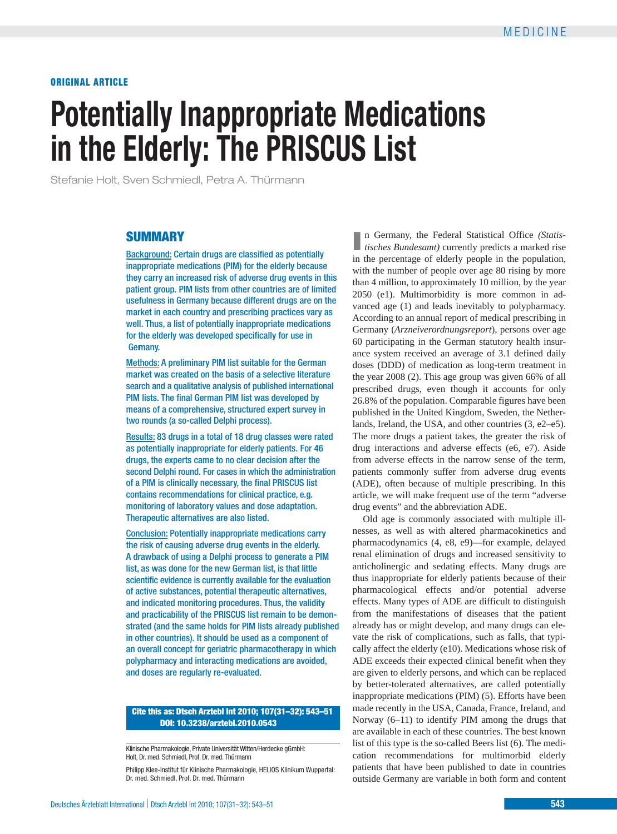## **ORIGINAL ARTICLE**

# **Potentially Inappropriate Medications in the Elderly: The PRISCUS List**

Stefanie Holt, Sven Schmiedl, Petra A. Thürmann

## **SUMMARY**

Background: Certain drugs are classified as potentially inappropriate medications (PIM) for the elderly because they carry an increased risk of adverse drug events in this patient group. PIM lists from other countries are of limited usefulness in Germany because different drugs are on the market in each country and prescribing practices vary as well. Thus, a list of potentially inappropriate medications for the elderly was developed specifically for use in Germany.

Methods: A preliminary PIM list suitable for the German market was created on the basis of a selective literature search and a qualitative analysis of published international PIM lists. The final German PIM list was developed by means of a comprehensive, structured expert survey in two rounds (a so-called Delphi process).

Results: 83 drugs in a total of 18 drug classes were rated as potentially inappropriate for elderly patients. For 46 drugs, the experts came to no clear decision after the second Delphi round. For cases in which the administration of a PIM is clinically necessary, the final PRISCUS list contains recommendations for clinical practice, e.g. monitoring of laboratory values and dose adaptation. Therapeutic alternatives are also listed.

Conclusion: Potentially inappropriate medications carry the risk of causing adverse drug events in the elderly. A drawback of using a Delphi process to generate a PIM list, as was done for the new German list, is that little scientific evidence is currently available for the evaluation of active substances, potential therapeutic alternatives, and indicated monitoring procedures. Thus, the validity and practicability of the PRISCUS list remain to be demonstrated (and the same holds for PIM lists already published in other countries). It should be used as a component of an overall concept for geriatric pharmacotherapy in which polypharmacy and interacting medications are avoided, and doses are regularly re-evaluated.

## **Cite this as: Dtsch Arztebl Int 2010; 107(31–32): 543–51 DOI: 10.3238/arztebl.2010.0543**

Klinische Pharmakologie, Private Universität Witten/Herdecke gGmbH<sup>.</sup> Holt, Dr. med. Schmiedl, Prof. Dr. med. Thürmann

Philipp Klee-Institut für Klinische Pharmakologie, HELIOS Klinikum Wuppertal: Dr. med. Schmiedl, Prof. Dr. med. Thürmann

**I** n Germany, the Federal Statistical Office *(Statis-tisches Bundesamt)* currently predicts a marked rise in the percentage of elderly people in the population, with the number of people over age 80 rising by more than 4 million, to approximately 10 million, by the year 2050 (e1). Multimorbidity is more common in advanced age (1) and leads inevitably to polypharmacy. According to an annual report of medical prescribing in Germany (*Arzneiverordnungsreport*), persons over age 60 participating in the German statutory health insurance system received an average of 3.1 defined daily doses (DDD) of medication as long-term treatment in the year 2008 (2). This age group was given 66% of all prescribed drugs, even though it accounts for only 26.8% of the population. Comparable figures have been published in the United Kingdom, Sweden, the Netherlands, Ireland, the USA, and other countries (3, e2–e5). The more drugs a patient takes, the greater the risk of drug interactions and adverse effects (e6, e7). Aside from adverse effects in the narrow sense of the term, patients commonly suffer from adverse drug events (ADE), often because of multiple prescribing. In this article, we will make frequent use of the term "adverse drug events" and the abbreviation ADE.

Old age is commonly associated with multiple illnesses, as well as with altered pharmacokinetics and pharmacodynamics (4, e8, e9)—for example, delayed renal elimination of drugs and increased sensitivity to anticholinergic and sedating effects. Many drugs are thus inappropriate for elderly patients because of their pharmacological effects and/or potential adverse effects. Many types of ADE are difficult to distinguish from the manifestations of diseases that the patient already has or might develop, and many drugs can elevate the risk of complications, such as falls, that typically affect the elderly (e10). Medications whose risk of ADE exceeds their expected clinical benefit when they are given to elderly persons, and which can be replaced by better-tolerated alternatives, are called potentially inappropriate medications (PIM) (5). Efforts have been made recently in the USA, Canada, France, Ireland, and Norway (6–11) to identify PIM among the drugs that are available in each of these countries. The best known list of this type is the so-called Beers list (6). The medication recommendations for multimorbid elderly patients that have been published to date in countries outside Germany are variable in both form and content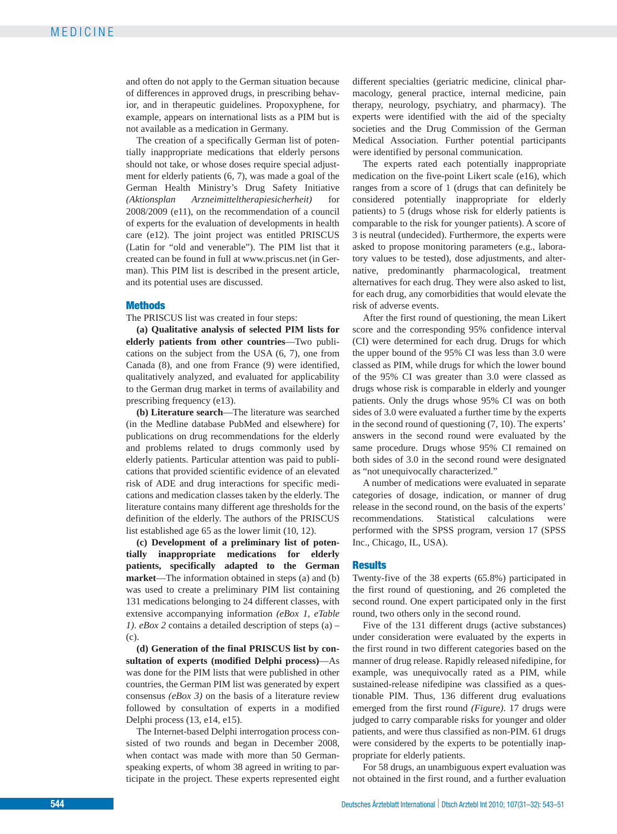and often do not apply to the German situation because of differences in approved drugs, in prescribing behav ior, and in therapeutic guidelines. Propoxyphene, for example, appears on international lists as a PIM but is not available as a medication in Germany.

The creation of a specifically German list of potentially inappropriate medications that elderly persons should not take, or whose doses require special adjustment for elderly patients (6, 7), was made a goal of the German Health Ministry's Drug Safety Initiative *(Aktionsplan Arzneimitteltherapiesicherheit)* for 2008/2009 (e11), on the recommendation of a council of experts for the evaluation of developments in health care (e12). The joint project was entitled PRISCUS (Latin for "old and venerable"). The PIM list that it created can be found in full at www.priscus.net (in German). This PIM list is described in the present article, and its potential uses are discussed.

#### **Methods**

The PRISCUS list was created in four steps:

**(a) Qualitative analysis of selected PIM lists for elderly patients from other countries**—Two publications on the subject from the USA (6, 7), one from Canada (8), and one from France (9) were identified, qualitatively analyzed, and evaluated for applicability to the German drug market in terms of availability and prescribing frequency (e13).

**(b) Literature search**—The literature was searched (in the Medline database PubMed and elsewhere) for publications on drug recommendations for the elderly and problems related to drugs commonly used by elderly patients. Particular attention was paid to publications that provided scientific evidence of an elevated risk of ADE and drug interactions for specific medications and medication classes taken by the elderly. The literature contains many different age thresholds for the definition of the elderly. The authors of the PRISCUS list established age 65 as the lower limit (10, 12).

**(c) Development of a preliminary list of potentially inappropriate medications for elderly patients, specifically adapted to the German market**—The information obtained in steps (a) and (b) was used to create a preliminary PIM list containing 131 medications belonging to 24 different classes, with extensive accompanying information *(eBox 1, eTable 1)*. *eBox 2* contains a detailed description of steps (a) – (c).

**(d) Generation of the final PRISCUS list by consultation of experts (modified Delphi process)**—As was done for the PIM lists that were published in other countries, the German PIM list was generated by expert consensus *(eBox 3)* on the basis of a literature review followed by consultation of experts in a modified Delphi process (13, e14, e15).

The Internet-based Delphi interrogation process consisted of two rounds and began in December 2008, when contact was made with more than 50 Germanspeaking experts, of whom 38 agreed in writing to participate in the project. These experts represented eight

different specialties (geriatric medicine, clinical pharmacology, general practice, internal medicine, pain therapy, neurology, psychiatry, and pharmacy). The experts were identified with the aid of the specialty societies and the Drug Commission of the German Medical Association. Further potential participants were identified by personal communication.

The experts rated each potentially inappropriate medication on the five-point Likert scale (e16), which ranges from a score of 1 (drugs that can definitely be considered potentially inappropriate for elderly patients) to 5 (drugs whose risk for elderly patients is comparable to the risk for younger patients). A score of 3 is neutral (undecided). Furthermore, the experts were asked to propose monitoring parameters (e.g., laboratory values to be tested), dose adjustments, and alternative, predominantly pharmacological, treatment alternatives for each drug. They were also asked to list, for each drug, any comorbidities that would elevate the risk of adverse events.

After the first round of questioning, the mean Likert score and the corresponding 95% confidence interval (CI) were determined for each drug. Drugs for which the upper bound of the 95% CI was less than 3.0 were classed as PIM, while drugs for which the lower bound of the 95% CI was greater than 3.0 were classed as drugs whose risk is comparable in elderly and younger patients. Only the drugs whose 95% CI was on both sides of 3.0 were evaluated a further time by the experts in the second round of questioning (7, 10). The experts' answers in the second round were evaluated by the same procedure. Drugs whose 95% CI remained on both sides of 3.0 in the second round were designated as "not unequivocally characterized."

A number of medications were evaluated in separate categories of dosage, indication, or manner of drug release in the second round, on the basis of the experts' recommendations. Statistical calculations were performed with the SPSS program, version 17 (SPSS Inc., Chicago, IL, USA).

#### **Results**

Twenty-five of the 38 experts (65.8%) participated in the first round of questioning, and 26 completed the second round. One expert participated only in the first round, two others only in the second round.

Five of the 131 different drugs (active substances) under consideration were evaluated by the experts in the first round in two different categories based on the manner of drug release. Rapidly released nifedipine, for example, was unequivocally rated as a PIM, while sustained-release nifedipine was classified as a questionable PIM. Thus, 136 different drug evaluations emerged from the first round *(Figure)*. 17 drugs were judged to carry comparable risks for younger and older patients, and were thus classified as non-PIM. 61 drugs were considered by the experts to be potentially inappropriate for elderly patients.

For 58 drugs, an unambiguous expert evaluation was not obtained in the first round, and a further evaluation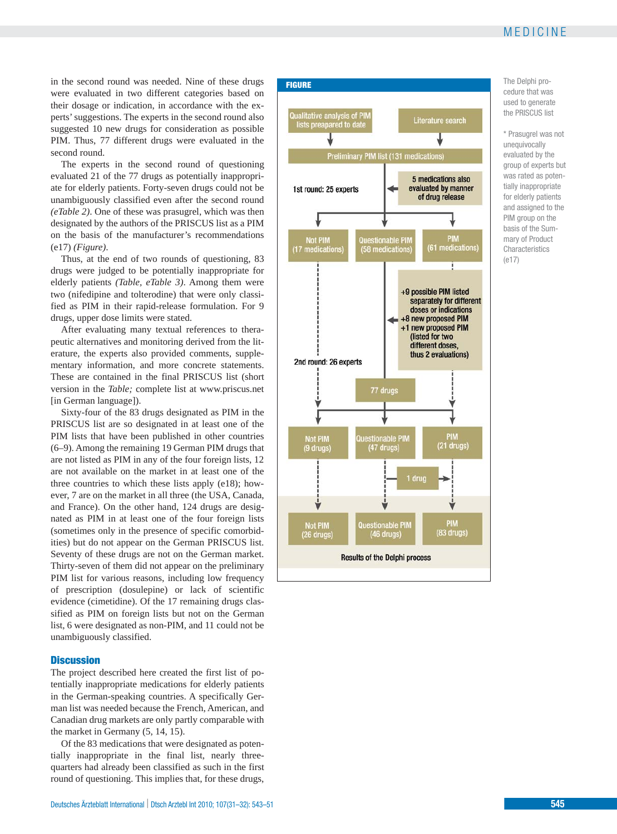in the second round was needed. Nine of these drugs were evaluated in two different categories based on their dosage or indication, in accordance with the experts' suggestions. The experts in the second round also suggested 10 new drugs for consideration as possible PIM. Thus, 77 different drugs were evaluated in the second round.

The experts in the second round of questioning evaluated 21 of the 77 drugs as potentially inappropriate for elderly patients. Forty-seven drugs could not be unambiguously classified even after the second round *(eTable 2)*. One of these was prasugrel, which was then designated by the authors of the PRISCUS list as a PIM on the basis of the manufacturer's recommendations (e17) *(Figure)* .

Thus, at the end of two rounds of questioning, 83 drugs were judged to be potentially inappropriate for elderly patients *(Table, eTable 3)*. Among them were two (nifedipine and tolterodine) that were only classified as PIM in their rapid-release formulation. For 9 drugs, upper dose limits were stated.

After evaluating many textual references to therapeutic alternatives and monitoring derived from the literature, the experts also provided comments, supplementary information, and more concrete statements. These are contained in the final PRISCUS list (short version in the *Table;* complete list at www.priscus.net [in German language]).

Sixty-four of the 83 drugs designated as PIM in the PRISCUS list are so designated in at least one of the PIM lists that have been published in other countries (6–9). Among the remaining 19 German PIM drugs that are not listed as PIM in any of the four foreign lists, 12 are not available on the market in at least one of the three countries to which these lists apply (e18); however, 7 are on the market in all three (the USA, Canada, and France). On the other hand, 124 drugs are designated as PIM in at least one of the four foreign lists (sometimes only in the presence of specific comorbidities) but do not appear on the German PRISCUS list. Seventy of these drugs are not on the German market. Thirty-seven of them did not appear on the preliminary PIM list for various reasons, including low frequency of prescription (dosulepine) or lack of scientific evidence (cimetidine). Of the 17 remaining drugs classified as PIM on foreign lists but not on the German list, 6 were designated as non-PIM, and 11 could not be unambiguously classified.

## **Discussion**

The project described here created the first list of potentially inappropriate medications for elderly patients in the German-speaking countries. A specifically German list was needed because the French, American, and Canadian drug markets are only partly comparable with the market in Germany (5, 14, 15).

Of the 83 medications that were designated as potentially inappropriate in the final list, nearly threequarters had already been classified as such in the first round of questioning. This implies that, for these drugs,



cedure that was used to generate the PRISCUS list

\* Prasugrel was not unequivocally evaluated by the group of experts but was rated as potentially inappropriate for elderly patients and assigned to the PIM group on the basis of the Summary of Product Characteristics (e17)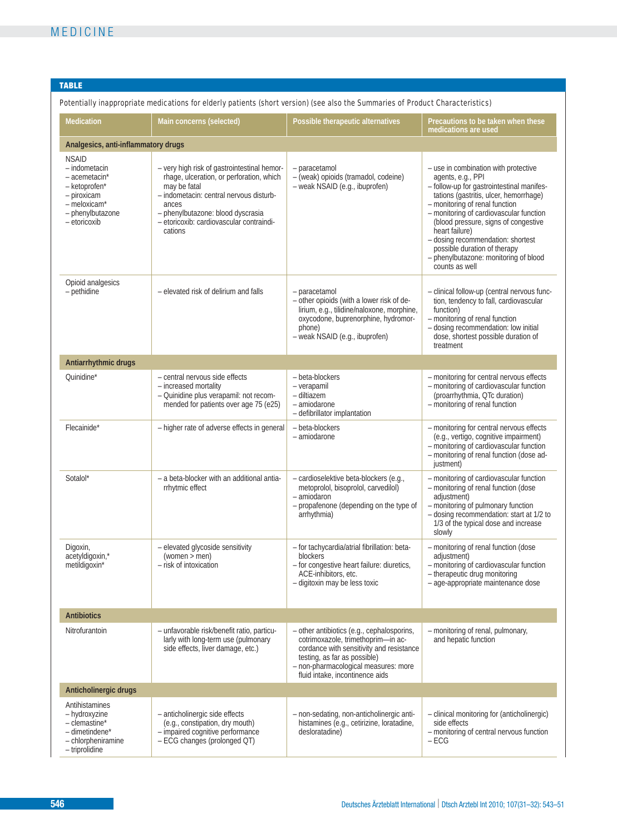# **TABLE**

Potentially inappropriate medications for elderly patients (short version) (see also the Summaries of Product Characteristics)

| <b>Medication</b>                                                                                                                  | Main concerns (selected)                                                                                                                                                                                                                                | Possible therapeutic alternatives                                                                                                                                                                                                       | Precautions to be taken when these<br>medications are used                                                                                                                                                                                                                                                                                                                                                              |  |  |  |  |
|------------------------------------------------------------------------------------------------------------------------------------|---------------------------------------------------------------------------------------------------------------------------------------------------------------------------------------------------------------------------------------------------------|-----------------------------------------------------------------------------------------------------------------------------------------------------------------------------------------------------------------------------------------|-------------------------------------------------------------------------------------------------------------------------------------------------------------------------------------------------------------------------------------------------------------------------------------------------------------------------------------------------------------------------------------------------------------------------|--|--|--|--|
|                                                                                                                                    | Analgesics, anti-inflammatory drugs                                                                                                                                                                                                                     |                                                                                                                                                                                                                                         |                                                                                                                                                                                                                                                                                                                                                                                                                         |  |  |  |  |
| <b>NSAID</b><br>- indometacin<br>- acemetacin*<br>- ketoprofen*<br>- piroxicam<br>- meloxicam*<br>- phenylbutazone<br>- etoricoxib | - very high risk of gastrointestinal hemor-<br>rhage, ulceration, or perforation, which<br>may be fatal<br>- indometacin: central nervous disturb-<br>ances<br>- phenylbutazone: blood dyscrasia<br>- etoricoxib: cardiovascular contraindi-<br>cations | - paracetamol<br>- (weak) opioids (tramadol, codeine)<br>- weak NSAID (e.g., ibuprofen)                                                                                                                                                 | - use in combination with protective<br>agents, e.g., PPI<br>- follow-up for gastrointestinal manifes-<br>tations (gastritis, ulcer, hemorrhage)<br>- monitoring of renal function<br>- monitoring of cardiovascular function<br>(blood pressure, signs of congestive<br>heart failure)<br>- dosing recommendation: shortest<br>possible duration of therapy<br>- phenylbutazone: monitoring of blood<br>counts as well |  |  |  |  |
| Opioid analgesics<br>- pethidine                                                                                                   | - elevated risk of delirium and falls                                                                                                                                                                                                                   | - paracetamol<br>- other opioids (with a lower risk of de-<br>lirium, e.g., tilidine/naloxone, morphine,<br>oxycodone, buprenorphine, hydromor-<br>phone)<br>- weak NSAID (e.g., ibuprofen)                                             | - clinical follow-up (central nervous func-<br>tion, tendency to fall, cardiovascular<br>function)<br>- monitoring of renal function<br>- dosing recommendation: low initial<br>dose, shortest possible duration of<br>treatment                                                                                                                                                                                        |  |  |  |  |
| Antiarrhythmic drugs                                                                                                               |                                                                                                                                                                                                                                                         |                                                                                                                                                                                                                                         |                                                                                                                                                                                                                                                                                                                                                                                                                         |  |  |  |  |
| Ouinidine*                                                                                                                         | - central nervous side effects<br>- increased mortality<br>- Quinidine plus verapamil: not recom-<br>mended for patients over age 75 (e25)                                                                                                              | - beta-blockers<br>- verapamil<br>- diltiazem<br>- amiodarone<br>- defibrillator implantation                                                                                                                                           | - monitoring for central nervous effects<br>- monitoring of cardiovascular function<br>(proarrhythmia, QTc duration)<br>- monitoring of renal function                                                                                                                                                                                                                                                                  |  |  |  |  |
| Flecainide*                                                                                                                        | - higher rate of adverse effects in general                                                                                                                                                                                                             | - beta-blockers<br>- amiodarone                                                                                                                                                                                                         | - monitoring for central nervous effects<br>(e.g., vertigo, cognitive impairment)<br>- monitoring of cardiovascular function<br>- monitoring of renal function (dose ad-<br>justment)                                                                                                                                                                                                                                   |  |  |  |  |
| Sotalol*                                                                                                                           | - a beta-blocker with an additional antia-<br>rrhytmic effect                                                                                                                                                                                           | - cardioselektive beta-blockers (e.g.,<br>metoprolol, bisoprolol, carvedilol)<br>- amiodaron<br>- propafenone (depending on the type of<br>arrhythmia)                                                                                  | - monitoring of cardiovascular function<br>- monitoring of renal function (dose<br>adjustment)<br>- monitoring of pulmonary function<br>- dosing recommendation: start at 1/2 to<br>1/3 of the typical dose and increase<br>slowly                                                                                                                                                                                      |  |  |  |  |
| Digoxin,<br>acetyldigoxin,*<br>metildigoxin*                                                                                       | - elevated glycoside sensitivity<br>(women > men)<br>- risk of intoxication                                                                                                                                                                             | - for tachycardia/atrial fibrillation: beta-<br>blockers<br>- for congestive heart failure: diuretics,<br>ACE-inhibitors, etc.<br>- digitoxin may be less toxic                                                                         | - monitoring of renal function (dose<br>adjustment)<br>- monitoring of cardiovascular function<br>- therapeutic drug monitoring<br>- age-appropriate maintenance dose                                                                                                                                                                                                                                                   |  |  |  |  |
| <b>Antibiotics</b>                                                                                                                 |                                                                                                                                                                                                                                                         |                                                                                                                                                                                                                                         |                                                                                                                                                                                                                                                                                                                                                                                                                         |  |  |  |  |
| Nitrofurantoin                                                                                                                     | - unfavorable risk/benefit ratio, particu-<br>larly with long-term use (pulmonary<br>side effects, liver damage, etc.)                                                                                                                                  | - other antibiotics (e.g., cephalosporins,<br>cotrimoxazole, trimethoprim-in ac-<br>cordance with sensitivity and resistance<br>testing, as far as possible)<br>- non-pharmacological measures: more<br>fluid intake, incontinence aids | - monitoring of renal, pulmonary,<br>and hepatic function                                                                                                                                                                                                                                                                                                                                                               |  |  |  |  |
| Anticholinergic drugs                                                                                                              |                                                                                                                                                                                                                                                         |                                                                                                                                                                                                                                         |                                                                                                                                                                                                                                                                                                                                                                                                                         |  |  |  |  |
| Antihistamines<br>- hydroxyzine<br>- clemastine*<br>- dimetindene*<br>- chlorpheniramine<br>- triprolidine                         | - anticholinergic side effects<br>(e.g., constipation, dry mouth)<br>- impaired cognitive performance<br>- ECG changes (prolonged QT)                                                                                                                   | - non-sedating, non-anticholinergic anti-<br>histamines (e.g., cetirizine, loratadine,<br>desloratadine)                                                                                                                                | - clinical monitoring for (anticholinergic)<br>side effects<br>- monitoring of central nervous function<br>– ECG                                                                                                                                                                                                                                                                                                        |  |  |  |  |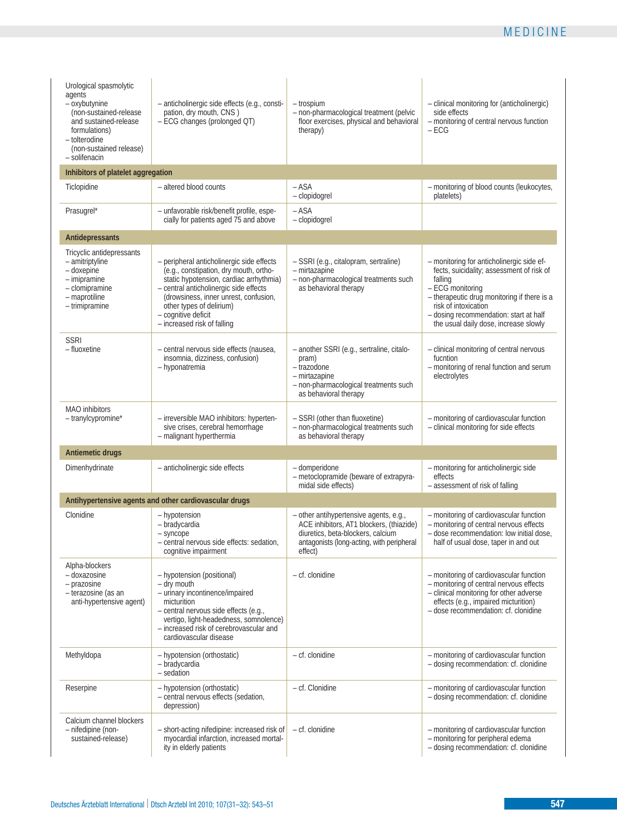| Urological spasmolytic<br>agents<br>- oxybutynine<br>(non-sustained-release<br>and sustained-release<br>formulations)<br>- tolterodine<br>(non-sustained release)<br>- solifenacin | - anticholinergic side effects (e.g., consti-<br>pation, dry mouth, CNS)<br>- ECG changes (prolonged QT)                                                                                                                                                                                            | - trospium<br>- non-pharmacological treatment (pelvic<br>floor exercises, physical and behavioral<br>therapy)                                                                   | - clinical monitoring for (anticholinergic)<br>side effects<br>- monitoring of central nervous function<br>$-ECG$                                                                                                                                                               |
|------------------------------------------------------------------------------------------------------------------------------------------------------------------------------------|-----------------------------------------------------------------------------------------------------------------------------------------------------------------------------------------------------------------------------------------------------------------------------------------------------|---------------------------------------------------------------------------------------------------------------------------------------------------------------------------------|---------------------------------------------------------------------------------------------------------------------------------------------------------------------------------------------------------------------------------------------------------------------------------|
| Inhibitors of platelet aggregation                                                                                                                                                 |                                                                                                                                                                                                                                                                                                     |                                                                                                                                                                                 |                                                                                                                                                                                                                                                                                 |
| Ticlopidine                                                                                                                                                                        | - altered blood counts                                                                                                                                                                                                                                                                              | $-$ ASA<br>- clopidogrel                                                                                                                                                        | - monitoring of blood counts (leukocytes,<br>platelets)                                                                                                                                                                                                                         |
| Prasugrel*                                                                                                                                                                         | - unfavorable risk/benefit profile, espe-<br>cially for patients aged 75 and above                                                                                                                                                                                                                  | $-$ ASA<br>- clopidogrel                                                                                                                                                        |                                                                                                                                                                                                                                                                                 |
| Antidepressants                                                                                                                                                                    |                                                                                                                                                                                                                                                                                                     |                                                                                                                                                                                 |                                                                                                                                                                                                                                                                                 |
| Tricyclic antidepressants<br>- amitriptyline<br>- doxepine<br>- imipramine<br>- clomipramine<br>- maprotiline<br>- trimipramine                                                    | - peripheral anticholinergic side effects<br>(e.g., constipation, dry mouth, ortho-<br>static hypotension, cardiac arrhythmia)<br>- central anticholinergic side effects<br>(drowsiness, inner unrest, confusion,<br>other types of delirium)<br>- cognitive deficit<br>- increased risk of falling | - SSRI (e.g., citalopram, sertraline)<br>- mirtazapine<br>- non-pharmacological treatments such<br>as behavioral therapy                                                        | - monitoring for anticholinergic side ef-<br>fects, suicidality; assessment of risk of<br>falling<br>- ECG monitoring<br>- therapeutic drug monitoring if there is a<br>risk of intoxication<br>- dosing recommendation: start at half<br>the usual daily dose, increase slowly |
| <b>SSRI</b><br>- fluoxetine                                                                                                                                                        | - central nervous side effects (nausea,<br>insomnia, dizziness, confusion)<br>- hyponatremia                                                                                                                                                                                                        | - another SSRI (e.g., sertraline, citalo-<br>pram)<br>- trazodone<br>- mirtazapine<br>- non-pharmacological treatments such<br>as behavioral therapy                            | - clinical monitoring of central nervous<br>fucntion<br>- monitoring of renal function and serum<br>electrolytes                                                                                                                                                                |
| <b>MAO</b> inhibitors<br>- tranylcypromine*                                                                                                                                        | - irreversible MAO inhibitors: hyperten-<br>sive crises, cerebral hemorrhage<br>- malignant hyperthermia                                                                                                                                                                                            | - SSRI (other than fluoxetine)<br>- non-pharmacological treatments such<br>as behavioral therapy                                                                                | - monitoring of cardiovascular function<br>- clinical monitoring for side effects                                                                                                                                                                                               |
| Antiemetic drugs                                                                                                                                                                   |                                                                                                                                                                                                                                                                                                     |                                                                                                                                                                                 |                                                                                                                                                                                                                                                                                 |
| Dimenhydrinate                                                                                                                                                                     | - anticholinergic side effects                                                                                                                                                                                                                                                                      | - domperidone<br>- metoclopramide (beware of extrapyra-<br>midal side effects)                                                                                                  | - monitoring for anticholinergic side<br>effects<br>- assessment of risk of falling                                                                                                                                                                                             |
|                                                                                                                                                                                    | Antihypertensive agents and other cardiovascular drugs                                                                                                                                                                                                                                              |                                                                                                                                                                                 |                                                                                                                                                                                                                                                                                 |
| Clonidine                                                                                                                                                                          | - hypotension<br>- bradycardia<br>$-$ syncope<br>- central nervous side effects: sedation,<br>cognitive impairment                                                                                                                                                                                  | - other antihypertensive agents, e.g.,<br>ACE inhibitors, AT1 blockers, (thiazide)<br>diuretics, beta-blockers, calcium<br>antagonists (long-acting, with peripheral<br>effect) | - monitoring of cardiovascular function<br>- monitoring of central nervous effects<br>- dose recommendation: low initial dose,<br>half of usual dose, taper in and out                                                                                                          |
| Alpha-blockers<br>- doxazosine<br>- prazosine<br>- terazosine (as an<br>anti-hypertensive agent)                                                                                   | - hypotension (positional)<br>- dry mouth<br>- urinary incontinence/impaired<br>micturition<br>- central nervous side effects (e.g.,<br>vertigo, light-headedness, somnolence)<br>- increased risk of cerebrovascular and<br>cardiovascular disease                                                 | - cf. clonidine                                                                                                                                                                 | - monitoring of cardiovascular function<br>- monitoring of central nervous effects<br>- clinical monitoring for other adverse<br>effects (e.g., impaired micturition)<br>- dose recommendation: cf. clonidine                                                                   |
| Methyldopa                                                                                                                                                                         | - hypotension (orthostatic)<br>- bradycardia<br>- sedation                                                                                                                                                                                                                                          | - cf. clonidine                                                                                                                                                                 | - monitoring of cardiovascular function<br>- dosing recommendation: cf. clonidine                                                                                                                                                                                               |
| Reserpine                                                                                                                                                                          | - hypotension (orthostatic)<br>- central nervous effects (sedation,<br>depression)                                                                                                                                                                                                                  | - cf. Clonidine                                                                                                                                                                 | - monitoring of cardiovascular function<br>- dosing recommendation: cf. clonidine                                                                                                                                                                                               |
| Calcium channel blockers<br>- nifedipine (non-<br>sustained-release)                                                                                                               | - short-acting nifedipine: increased risk of<br>myocardial infarction, increased mortal-<br>ity in elderly patients                                                                                                                                                                                 | - cf. clonidine                                                                                                                                                                 | - monitoring of cardiovascular function<br>- monitoring for peripheral edema<br>- dosing recommendation: cf. clonidine                                                                                                                                                          |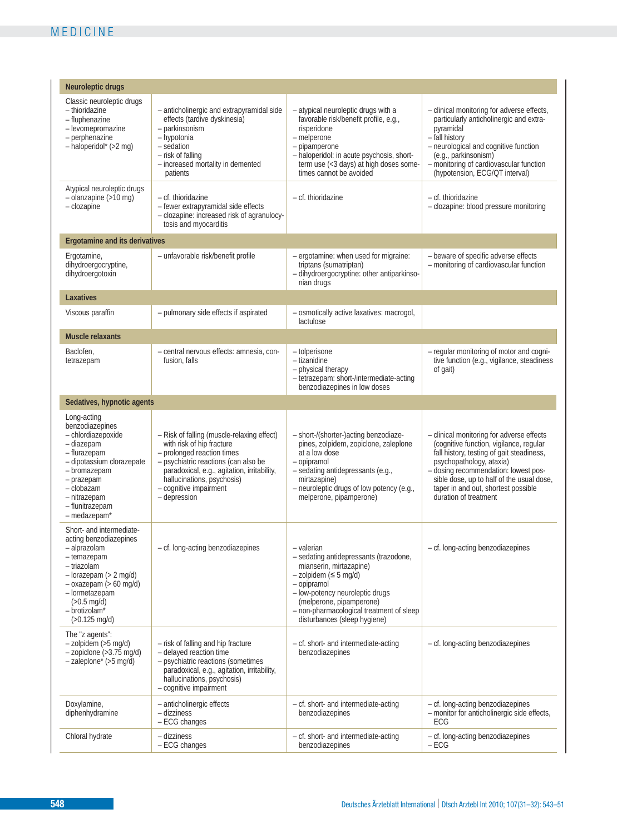| Neuroleptic drugs                                                                                                                                                                                                                                |                                                                                                                                                                                                                                                                      |                                                                                                                                                                                                                                                                            |                                                                                                                                                                                                                                                                                                                    |
|--------------------------------------------------------------------------------------------------------------------------------------------------------------------------------------------------------------------------------------------------|----------------------------------------------------------------------------------------------------------------------------------------------------------------------------------------------------------------------------------------------------------------------|----------------------------------------------------------------------------------------------------------------------------------------------------------------------------------------------------------------------------------------------------------------------------|--------------------------------------------------------------------------------------------------------------------------------------------------------------------------------------------------------------------------------------------------------------------------------------------------------------------|
| Classic neuroleptic drugs<br>- thioridazine<br>- fluphenazine<br>- levomepromazine<br>- perphenazine<br>- haloperidol* (>2 mg)                                                                                                                   | - anticholinergic and extrapyramidal side<br>effects (tardive dyskinesia)<br>- parkinsonism<br>- hypotonia<br>- sedation<br>- risk of falling<br>- increased mortality in demented<br>patients                                                                       | - atypical neuroleptic drugs with a<br>favorable risk/benefit profile, e.g.,<br>risperidone<br>- melperone<br>- pipamperone<br>- haloperidol: in acute psychosis, short-<br>term use (<3 days) at high doses some-<br>times cannot be avoided                              | - clinical monitoring for adverse effects,<br>particularly anticholinergic and extra-<br>pyramidal<br>- fall history<br>- neurological and cognitive function<br>(e.g., parkinsonism)<br>- monitoring of cardiovascular function<br>(hypotension, ECG/QT interval)                                                 |
| Atypical neuroleptic drugs<br>$-$ olanzapine ( $>10$ mq)<br>- clozapine                                                                                                                                                                          | - cf. thioridazine<br>- fewer extrapyramidal side effects<br>- clozapine: increased risk of agranulocy-<br>tosis and myocarditis                                                                                                                                     | - cf. thioridazine                                                                                                                                                                                                                                                         | - cf. thioridazine<br>- clozapine: blood pressure monitoring                                                                                                                                                                                                                                                       |
| Ergotamine and its derivatives                                                                                                                                                                                                                   |                                                                                                                                                                                                                                                                      |                                                                                                                                                                                                                                                                            |                                                                                                                                                                                                                                                                                                                    |
| Ergotamine,<br>dihydroergocryptine,<br>dihydroergotoxin                                                                                                                                                                                          | - unfavorable risk/benefit profile                                                                                                                                                                                                                                   | - ergotamine: when used for migraine:<br>triptans (sumatriptan)<br>- dihydroergocryptine: other antiparkinso-<br>nian drugs                                                                                                                                                | - beware of specific adverse effects<br>- monitoring of cardiovascular function                                                                                                                                                                                                                                    |
| Laxatives                                                                                                                                                                                                                                        |                                                                                                                                                                                                                                                                      |                                                                                                                                                                                                                                                                            |                                                                                                                                                                                                                                                                                                                    |
| Viscous paraffin                                                                                                                                                                                                                                 | - pulmonary side effects if aspirated                                                                                                                                                                                                                                | - osmotically active laxatives: macrogol,<br>lactulose                                                                                                                                                                                                                     |                                                                                                                                                                                                                                                                                                                    |
| <b>Muscle relaxants</b>                                                                                                                                                                                                                          |                                                                                                                                                                                                                                                                      |                                                                                                                                                                                                                                                                            |                                                                                                                                                                                                                                                                                                                    |
| Baclofen,<br>tetrazepam                                                                                                                                                                                                                          | - central nervous effects: amnesia, con-<br>fusion, falls                                                                                                                                                                                                            | - tolperisone<br>- tizanidine<br>- physical therapy<br>- tetrazepam: short-/intermediate-acting<br>benzodiazepines in low doses                                                                                                                                            | - regular monitoring of motor and cogni-<br>tive function (e.g., vigilance, steadiness<br>of gait)                                                                                                                                                                                                                 |
| Sedatives, hypnotic agents                                                                                                                                                                                                                       |                                                                                                                                                                                                                                                                      |                                                                                                                                                                                                                                                                            |                                                                                                                                                                                                                                                                                                                    |
| Long-acting<br>benzodiazepines<br>- chlordiazepoxide<br>- diazepam<br>- flurazepam<br>- dipotassium clorazepate<br>- bromazepam<br>- prazepam<br>- clobazam<br>- nitrazepam<br>- flunitrazepam<br>- medazepam*                                   | - Risk of falling (muscle-relaxing effect)<br>with risk of hip fracture<br>- prolonged reaction times<br>- psychiatric reactions (can also be<br>paradoxical, e.g., agitation, irritability,<br>hallucinations, psychosis)<br>- cognitive impairment<br>- depression | - short-/(shorter-)acting benzodiaze-<br>pines, zolpidem, zopiclone, zaleplone<br>at a low dose<br>- opipramol<br>- sedating antidepressants (e.g.,<br>mirtazapine)<br>- neuroleptic drugs of low potency (e.g.,<br>melperone, pipamperone)                                | - clinical monitoring for adverse effects<br>(cognitive function, vigilance, regular<br>fall history, testing of gait steadiness,<br>psychopathology, ataxia)<br>- dosing recommendation: lowest pos-<br>sible dose, up to half of the usual dose,<br>taper in and out, shortest possible<br>duration of treatment |
| Short- and intermediate-<br>acting benzodiazepines<br>– alprazolam<br>- temazepam<br>- triazolam<br>$-$ lorazepam ( $>$ 2 mg/d)<br>- oxazepam (> 60 mg/d)<br>- lormetazepam<br>$(>0.5 \text{ mg/d})$<br>- brotizolam'<br>$(>0.125 \text{ mg/d})$ | - cf. long-acting benzodiazepines                                                                                                                                                                                                                                    | - valerian<br>- sedating antidepressants (trazodone,<br>mianserin, mirtazapine)<br>$-$ zolpidem ( $\leq$ 5 mg/d)<br>- opipramol<br>- low-potency neuroleptic drugs<br>(melperone, pipamperone)<br>- non-pharmacological treatment of sleep<br>disturbances (sleep hygiene) | - cf. long-acting benzodiazepines                                                                                                                                                                                                                                                                                  |
| The "z agents":<br>- zolpidem (>5 mg/d)<br>$-$ zopiclone (>3.75 mg/d)<br>$-$ zaleplone <sup>*</sup> ( $>5$ mg/d)                                                                                                                                 | - risk of falling and hip fracture<br>- delayed reaction time<br>- psychiatric reactions (sometimes<br>paradoxical, e.g., agitation, irritability,<br>hallucinations, psychosis)<br>- cognitive impairment                                                           | - cf. short- and intermediate-acting<br>benzodiazepines                                                                                                                                                                                                                    | - cf. long-acting benzodiazepines                                                                                                                                                                                                                                                                                  |
| Doxylamine,<br>diphenhydramine                                                                                                                                                                                                                   | - anticholinergic effects<br>- dizziness<br>- ECG changes                                                                                                                                                                                                            | - cf. short- and intermediate-acting<br>benzodiazepines                                                                                                                                                                                                                    | - cf. long-acting benzodiazepines<br>- monitor for anticholinergic side effects,<br>ECG                                                                                                                                                                                                                            |
| Chloral hydrate                                                                                                                                                                                                                                  | – dizziness<br>- ECG changes                                                                                                                                                                                                                                         | - cf. short- and intermediate-acting<br>benzodiazepines                                                                                                                                                                                                                    | - cf. long-acting benzodiazepines<br>$-ECG$                                                                                                                                                                                                                                                                        |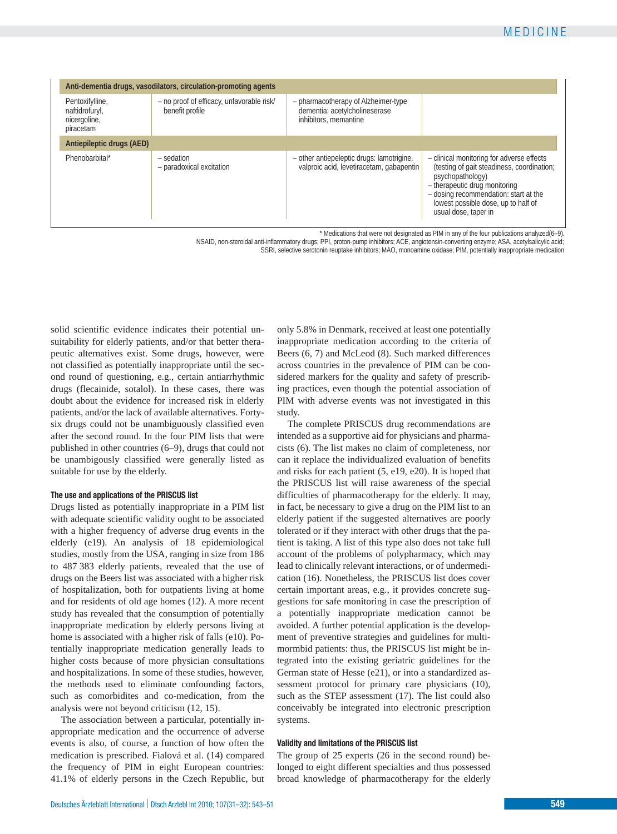| Anti-dementia drugs, vasodilators, circulation-promoting agents                                                                |                                        |                                                                                               |                                                                                                                                                                                                                                                      |  |  |
|--------------------------------------------------------------------------------------------------------------------------------|----------------------------------------|-----------------------------------------------------------------------------------------------|------------------------------------------------------------------------------------------------------------------------------------------------------------------------------------------------------------------------------------------------------|--|--|
| - no proof of efficacy, unfavorable risk/<br>Pentoxifylline,<br>benefit profile<br>naftidrofuryl,<br>nicergoline,<br>piracetam |                                        | - pharmacotherapy of Alzheimer-type<br>dementia: acetylcholineserase<br>inhibitors, memantine |                                                                                                                                                                                                                                                      |  |  |
| Antiepileptic drugs (AED)                                                                                                      |                                        |                                                                                               |                                                                                                                                                                                                                                                      |  |  |
| Phenobarbital*                                                                                                                 | - sedation<br>- paradoxical excitation | - other antiepeleptic drugs: lamotrigine,<br>valproic acid, levetiracetam, gabapentin         | - clinical monitoring for adverse effects<br>(testing of gait steadiness, coordination;<br>psychopathology)<br>- therapeutic drug monitoring<br>- dosing recommendation: start at the<br>lowest possible dose, up to half of<br>usual dose, taper in |  |  |

\* Medications that were not designated as PIM in any of the four publications analyzed(6-9).

NSAID, non-steroidal anti-inflammatory drugs; PPI, proton-pump inhibitors; ACE, angiotensin-converting enzyme; ASA, acetylsalicylic acid; SSRI, selective serotonin reuptake inhibitors; MAO, monoamine oxidase; PIM, potentially inappropriate medication

solid scientific evidence indicates their potential unsuitability for elderly patients, and/or that better therapeutic alternatives exist. Some drugs, however, were not classified as potentially inappropriate until the second round of questioning, e.g., certain antiarrhythmic drugs (flecainide, sotalol). In these cases, there was doubt about the evidence for increased risk in elderly patients, and/or the lack of available alternatives. Fortysix drugs could not be unambiguously classified even after the second round. In the four PIM lists that were published in other countries (6–9), drugs that could not be unambigously classified were generally listed as suitable for use by the elderly.

## **The use and applications of the PRISCUS list**

Drugs listed as potentially inappropriate in a PIM list with adequate scientific validity ought to be associated with a higher frequency of adverse drug events in the elderly (e19). An analysis of 18 epidemiological studies, mostly from the USA, ranging in size from 186 to 487 383 elderly patients, revealed that the use of drugs on the Beers list was associated with a higher risk of hospitalization, both for outpatients living at home and for residents of old age homes (12). A more recent study has revealed that the consumption of potentially inappropriate medication by elderly persons living at home is associated with a higher risk of falls (e10). Potentially inappropriate medication generally leads to higher costs because of more physician consultations and hospitalizations. In some of these studies, however, the methods used to eliminate confounding factors, such as comorbidites and co-medication, from the analysis were not beyond criticism (12, 15).

The association between a particular, potentially inappropriate medication and the occurrence of adverse events is also, of course, a function of how often the medication is prescribed. Fialová et al. (14) compared the frequency of PIM in eight European countries: 41.1% of elderly persons in the Czech Republic, but

only 5.8% in Denmark, received at least one potentially inappropriate medication according to the criteria of Beers (6, 7) and McLeod (8). Such marked differences across countries in the prevalence of PIM can be considered markers for the quality and safety of prescribing practices, even though the potential association of PIM with adverse events was not investigated in this study.

The complete PRISCUS drug recommendations are intended as a supportive aid for physicians and pharmacists (6). The list makes no claim of completeness, nor can it replace the individualized evaluation of benefits and risks for each patient (5, e19, e20). It is hoped that the PRISCUS list will raise awareness of the special difficulties of pharmacotherapy for the elderly. It may, in fact, be necessary to give a drug on the PIM list to an elderly patient if the suggested alternatives are poorly tolerated or if they interact with other drugs that the patient is taking. A list of this type also does not take full account of the problems of polypharmacy, which may lead to clinically relevant interactions, or of undermedication (16). Nonetheless, the PRISCUS list does cover certain important areas, e.g., it provides concrete suggestions for safe monitoring in case the prescription of a potentially inappropriate medication cannot be avoided. A further potential application is the development of preventive strategies and guidelines for multimormbid patients: thus, the PRISCUS list might be integrated into the existing geriatric guidelines for the German state of Hesse (e21), or into a standardized assessment protocol for primary care physicians (10), such as the STEP assessment (17). The list could also conceivably be integrated into electronic prescription systems.

## **Validity and limitations of the PRISCUS list**

The group of 25 experts (26 in the second round) belonged to eight different specialties and thus possessed broad knowledge of pharmacotherapy for the elderly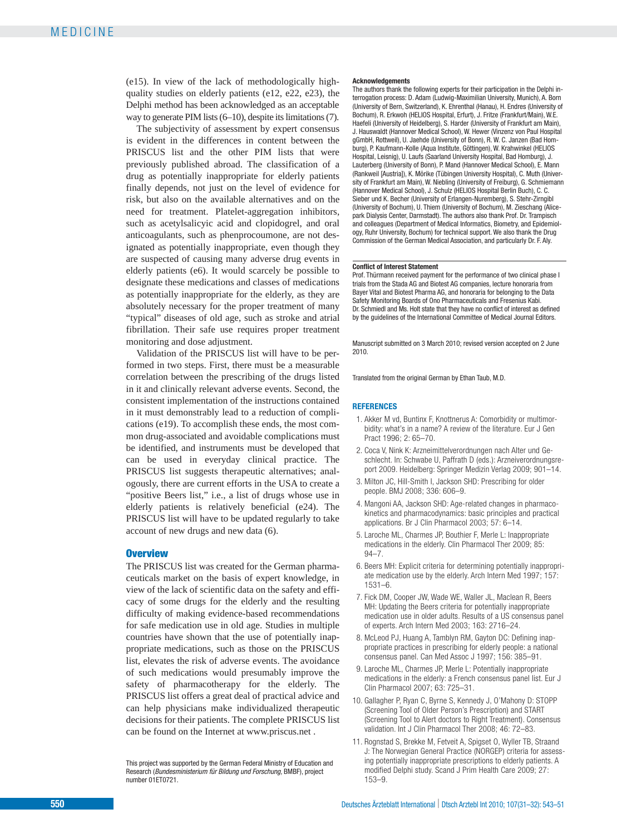(e15). In view of the lack of methodologically highquality studies on elderly patients (e12, e22, e23), the Delphi method has been acknowledged as an acceptable way to generate PIM lists (6–10), despite its limitations (7).

The subjectivity of assessment by expert consensus is evident in the differences in content between the PRISCUS list and the other PIM lists that were previously published abroad. The classification of a drug as potentially inappropriate for elderly patients finally depends, not just on the level of evidence for risk, but also on the available alternatives and on the need for treatment. Platelet-aggregation inhibitors, such as acetylsalicyic acid and clopidogrel, and oral anticoagulants, such as phenprocoumone, are not designated as potentially inappropriate, even though they are suspected of causing many adverse drug events in elderly patients (e6). It would scarcely be possible to designate these medications and classes of medications as potentially inappropriate for the elderly, as they are absolutely necessary for the proper treatment of many "typical" diseases of old age, such as stroke and atrial fibrillation. Their safe use requires proper treatment monitoring and dose adjustment.

Validation of the PRISCUS list will have to be performed in two steps. First, there must be a measurable correlation between the prescribing of the drugs listed in it and clinically relevant adverse events. Second, the consistent implementation of the instructions contained in it must demonstrably lead to a reduction of complications (e19). To accomplish these ends, the most common drug-associated and avoidable complications must be identified, and instruments must be developed that can be used in everyday clinical practice. The PRISCUS list suggests therapeutic alternatives; analogously, there are current efforts in the USA to create a "positive Beers list," i.e., a list of drugs whose use in elderly patients is relatively beneficial (e24). The PRISCUS list will have to be updated regularly to take account of new drugs and new data (6).

#### **Overview**

The PRISCUS list was created for the German pharmaceuticals market on the basis of expert knowledge, in view of the lack of scientific data on the safety and efficacy of some drugs for the elderly and the resulting difficulty of making evidence-based recommendations for safe medication use in old age. Studies in multiple countries have shown that the use of potentially inappropriate medications, such as those on the PRISCUS list, elevates the risk of adverse events. The avoidance of such medications would presumably improve the safety of pharmacotherapy for the elderly. The PRISCUS list offers a great deal of practical advice and can help physicians make individualized therapeutic decisions for their patients. The complete PRISCUS list can be found on the Internet at www.priscus.net .

This project was supported by the German Federal Ministry of Education and Research (Bundesministerium für Bildung und Forschung, BMBF), project number 01ET0721.

#### **Acknowledgements**

The authors thank the following experts for their participation in the Delphi interrogation process: D. Adam (Ludwig-Maximilian University, Munich), A. Born (University of Bern, Switzerland), K. Ehrenthal (Hanau), H. Endres (University of Bochum), R. Erkwoh (HELIOS Hospital, Erfurt), J. Fritze (Frankfurt/Main), W.E. Haefeli (University of Heidelberg), S. Harder (University of Frankfurt am Main), J. Hauswaldt (Hannover Medical School), W. Hewer (Vinzenz von Paul Hospital gGmbH, Rottweil), U. Jaehde (University of Bonn), R. W. C. Janzen (Bad Homburg), P. Kaufmann-Kolle (Aqua Institute, Göttingen), W. Krahwinkel (HELIOS Hospital, Leisnig), U. Laufs (Saarland University Hospital, Bad Homburg), J. Lauterberg (University of Bonn), P. Mand (Hannover Medical School), E. Mann (Rankweil [Austria]), K. Mörike (Tübingen University Hospital), C. Muth (University of Frankfurt am Main), W. Niebling (University of Freiburg), G. Schmiemann (Hannover Medical School), J. Schulz (HELIOS Hospital Berlin Buch), C. C. Sieber und K. Becher (University of Erlangen-Nuremberg), S. Stehr-Zirngibl (University of Bochum), U. Thiem (University of Bochum), M. Zieschang (Alicepark Dialysis Center, Darmstadt). The authors also thank Prof. Dr. Trampisch and colleagues (Department of Medical Informatics, Biometry, and Epidemiology, Ruhr University, Bochum) for technical support. We also thank the Drug Commission of the German Medical Association, and particularly Dr. F. Aly.

#### **Conflict of Interest Statement**

Prof. Thürmann received payment for the performance of two clinical phase I trials from the Stada AG and Biotest AG companies, lecture honoraria from Bayer Vital and Biotest Pharma AG, and honoraria for belonging to the Data Safety Monitoring Boards of Ono Pharmaceuticals and Fresenius Kabi. Dr. Schmiedl and Ms. Holt state that they have no conflict of interest as defined by the guidelines of the International Committee of Medical Journal Editors.

Manuscript submitted on 3 March 2010; revised version accepted on 2 June 2010.

Translated from the original German by Ethan Taub, M.D.

## **REFERENCES**

- 1. Akker M vd, Buntinx F, Knottnerus A: Comorbidity or multimorbidity: what's in a name? A review of the literature. Eur J Gen Pract 1996; 2: 65–70.
- 2. Coca V, Nink K: Arzneimittelverordnungen nach Alter und Ge schlecht. In: Schwabe U, Paffrath D (eds.): Arzneiverordnungsreport 2009. Heidelberg: Springer Medizin Verlag 2009; 901–14.
- 3. Milton JC, Hill-Smith I, Jackson SHD: Prescribing for older people. BMJ 2008; 336: 606–9.
- 4. Mangoni AA, Jackson SHD: Age-related changes in pharmaco kinetics and pharmacodynamics: basic principles and practical applications. Br J Clin Pharmacol 2003; 57: 6–14.
- 5. Laroche ML, Charmes JP, Bouthier F, Merle L: Inappropriate medications in the elderly. Clin Pharmacol Ther 2009; 85: 94–7.
- 6. Beers MH: Explicit criteria for determining potentially inappropriate medication use by the elderly. Arch Intern Med 1997; 157: 1531–6.
- 7. Fick DM, Cooper JW, Wade WE, Waller JL, Maclean R, Beers MH: Updating the Beers criteria for potentially inappropriate medication use in older adults. Results of a US consensus panel of experts. Arch Intern Med 2003; 163: 2716–24.
- 8. McLeod PJ, Huang A, Tamblyn RM, Gayton DC: Defining inappropriate practices in prescribing for elderly people: a national consensus panel. Can Med Assoc J 1997; 156: 385–91.
- 9. Laroche ML, Charmes JP, Merle L: Potentially inappropriate medications in the elderly: a French consensus panel list. Eur J Clin Pharmacol 2007; 63: 725–31.
- 10. Gallagher P, Ryan C, Byrne S, Kennedy J, O'Mahony D: STOPP (Screening Tool of Older Person's Prescription) and START (Screening Tool to Alert doctors to Right Treatment). Consensus validation. Int J Clin Pharmacol Ther 2008; 46: 72–83.
- 11. Rognstad S, Brekke M, Fetveit A, Spigset O, Wyller TB, Straand J: The Norwegian General Practice (NORGEP) criteria for assessing potentially inappropriate prescriptions to elderly patients. A modified Delphi study. Scand J Prim Health Care 2009; 27: 153–9.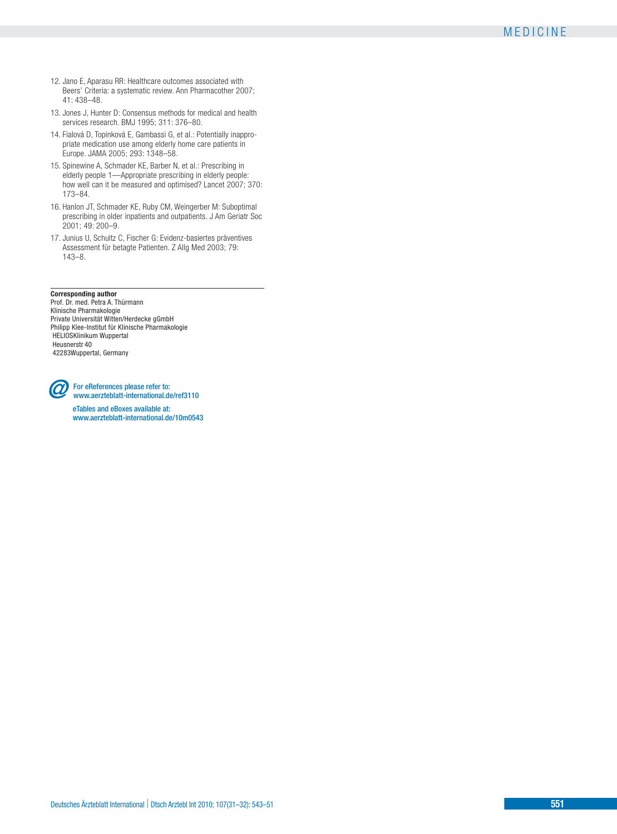- 12. Jano E, Aparasu RR: Healthcare outcomes associated with Beers' Criteria: a systematic review. Ann Pharmacother 2007; 41: 438–48.
- 13. Jones J, Hunter D: Consensus methods for medical and health services research. BMJ 1995; 311: 376–80.
- 14. Fialová D, Topinková E, Gambassi G, et al.: Potentially inappropriate medication use among elderly home care patients in Europe. JAMA 2005; 293: 1348–58.
- 15. Spinewine A, Schmader KE, Barber N, et al.: Prescribing in elderly people 1—Appropriate prescribing in elderly people: how well can it be measured and optimised? Lancet 2007; 370: 173–84.
- 16. Hanlon JT, Schmader KE, Ruby CM, Weingerber M: Suboptimal prescribing in older inpatients and outpatients. J Am Geriatr Soc 2001; 49: 200–9.
- 17. Junius U, Schultz C, Fischer G: Evidenz-basiertes präventives Assessment für betagte Patienten. Z Allg Med 2003; 79: 143–8.

**Corresponding author** Prof. Dr. med. Petra A. Thürmann Klinische Pharmakologie Private Universität Witten/Herdecke gGmbH Philipp Klee-Institut für Klinische Pharmakologie HELIOSKlinikum Wuppertal Heusnerstr 40 42283Wuppertal, Germany

**@** For eReferences please refer to:<br>www.aerzteblatt-international.de/ref3110

eTables and eBoxes available at: www.aerzteblatt-international.de/10m0543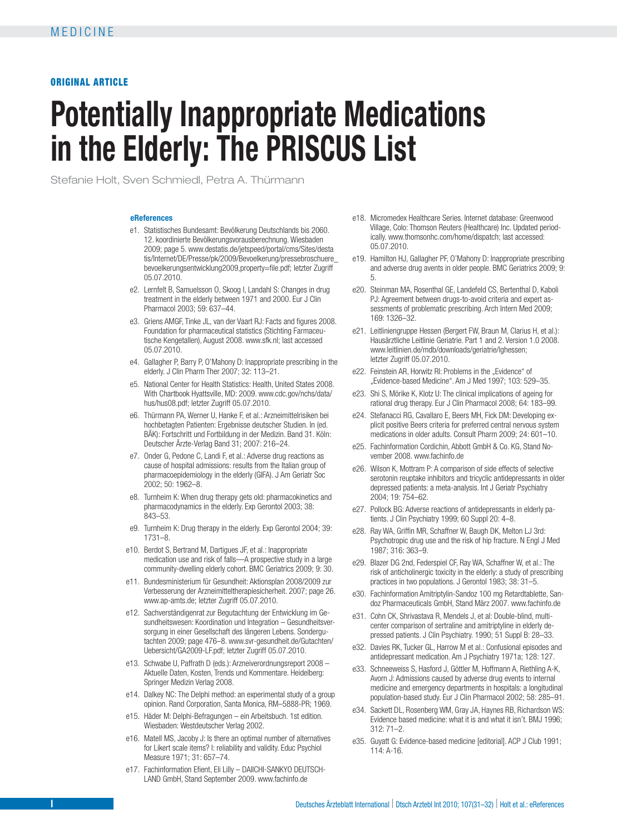## **ORIGINAL ARTICLE**

# **Potentially Inappropriate Medications in the Elderly: The PRISCUS List**

Stefanie Holt, Sven Schmiedl, Petra A. Thürmann

#### **eReferences**

- e1. Statistisches Bundesamt: Bevölkerung Deutschlands bis 2060. 12. koordinierte Bevölkerungsvorausberechnung. Wiesbaden 2009; page 5. www.destatis.de/jetspeed/portal/cms/Sites/desta tis/Internet/DE/Presse/pk/2009/Bevoelkerung/pressebroschuere\_ bevoelkerungsentwicklung2009,property=file.pdf; letzter Zugriff 05.07.2010.
- e2. Lernfelt B, Samuelsson O, Skoog I, Landahl S: Changes in drug treatment in the elderly between 1971 and 2000. Eur J Clin Pharmacol 2003; 59: 637–44.
- e3. Griens AMGF, Tinke JL, van der Vaart RJ: Facts and figures 2008. Foundation for pharmaceutical statistics (Stichting Farmaceutische Kengetallen), August 2008. www.sfk.nl; last accessed 05.07.2010.
- e4. Gallagher P, Barry P, O'Mahony D: Inappropriate prescribing in the elderly. J Clin Pharm Ther 2007; 32: 113–21.
- e5. National Center for Health Statistics: Health, United States 2008. With Chartbook Hyattsville, MD: 2009. www.cdc.gov/nchs/data/ hus/hus08.pdf; letzter Zugriff 05.07.2010.
- e6. Thürmann PA, Werner U, Hanke F, et al.: Arzneimittelrisiken bei hochbetagten Patienten: Ergebnisse deutscher Studien. In (ed. BÄK): Fortschritt und Fortbildung in der Medizin. Band 31. Köln: Deutscher Ärzte-Verlag Band 31; 2007: 216–24.
- e7. Onder G, Pedone C, Landi F, et al.: Adverse drug reactions as cause of hospital admissions: results from the Italian group of pharmacoepidemiology in the elderly (GIFA). J Am Geriatr Soc 2002; 50: 1962–8.
- e8. Turnheim K: When drug therapy gets old: pharmacokinetics and pharmacodynamics in the elderly. Exp Gerontol 2003; 38: 843–53.
- e9. Turnheim K: Drug therapy in the elderly. Exp Gerontol 2004; 39: 1731–8.
- e10. Berdot S, Bertrand M, Dartigues JF, et al.: Inappropriate medication use and risk of falls—A prospective study in a large community-dwelling elderly cohort. BMC Geriatrics 2009; 9: 30.
- e11. Bundesministerium für Gesundheit: Aktionsplan 2008/2009 zur Verbesserung der Arzneimitteltherapiesicherheit. 2007; page 26. www.ap-amts.de; letzter Zugriff 05.07.2010.
- e12. Sachverständigenrat zur Begutachtung der Entwicklung im Gesundheitswesen: Koordination und Integration – Gesundheitsversorgung in einer Gesellschaft des längeren Lebens. Sondergutachten 2009; page 476–8. www.svr-gesundheit.de/Gutachten/ Uebersicht/GA2009-LF.pdf; letzter Zugriff 05.07.2010.
- e13. Schwabe U, Paffrath D (eds.): Arzneiverordnungsreport 2008 Aktuelle Daten, Kosten, Trends und Kommentare. Heidelberg: Springer Medizin Verlag 2008.
- e14. Dalkey NC: The Delphi method: an experimental study of a group opinion. Rand Corporation, Santa Monica, RM–5888-PR; 1969.
- e15. Häder M: Delphi-Befragungen ein Arbeitsbuch. 1st edition. Wiesbaden: Westdeutscher Verlag 2002.
- e16. Matell MS, Jacoby J: Is there an optimal number of alternatives for Likert scale items? I: reliability and validity. Educ Psychiol Measure 1971; 31: 657–74.
- e17. Fachinformation Efient, Eli Lilly DAIICHI-SANKYO DEUTSCH-LAND GmbH, Stand September 2009. www.fachinfo.de
- e18. Micromedex Healthcare Series. Internet database: Greenwood Village, Colo: Thomson Reuters (Healthcare) Inc. Updated periodically. www.thomsonhc.com/home/dispatch; last accessed: 05.07.2010.
- e19. Hamilton HJ, Gallagher PF, O'Mahony D: Inappropriate prescribing and adverse drug avents in older people. BMC Geriatrics 2009; 9: 5.
- e20. Steinman MA, Rosenthal GE, Landefeld CS, Bertenthal D, Kaboli PJ: Agreement between drugs-to-avoid criteria and expert assessments of problematic prescribing. Arch Intern Med 2009; 169: 1326–32.
- e21. Leitliniengruppe Hessen (Bergert FW, Braun M, Clarius H, et al.): Hausärztliche Leitlinie Geriatrie. Part 1 and 2. Version 1.0 2008. www.leitlinien.de/mdb/downloads/geriatrie/lghessen; letzter Zugriff 05.07.2010.
- e22. Feinstein AR, Horwitz RI: Problems in the "Evidence" of . Evidence-based Medicine". Am J Med 1997: 103: 529-35.
- e23. Shi S, Mörike K, Klotz U: The clinical implications of ageing for rational drug therapy. Eur J Clin Pharmacol 2008; 64: 183–99.
- e24. Stefanacci RG, Cavallaro E, Beers MH, Fick DM: Developing explicit positive Beers criteria for preferred central nervous system medications in older adults. Consult Pharm 2009; 24: 601–10.
- e25. Fachinformation Cordichin, Abbott GmbH & Co. KG, Stand November 2008. www.fachinfo.de
- e26. Wilson K, Mottram P: A comparison of side effects of selective serotonin reuptake inhibitors and tricyclic antidepressants in older depressed patients: a meta-analysis. Int J Geriatr Psychiatry 2004; 19: 754–62.
- e27. Pollock BG: Adverse reactions of antidepressants in elderly patients. J Clin Psychiatry 1999; 60 Suppl 20: 4–8.
- e28. Ray WA, Griffin MR, Schaffner W, Baugh DK, Melton LJ 3rd: Psychotropic drug use and the risk of hip fracture. N Engl J Med 1987; 316: 363–9.
- e29. Blazer DG 2nd, Federspiel CF, Ray WA, Schaffner W, et al.: The risk of anticholinergic toxicity in the elderly: a study of prescribing practices in two populations. J Gerontol 1983; 38: 31–5.
- e30. Fachinformation Amitriptylin-Sandoz 100 mg Retardtablette, Sandoz Pharmaceuticals GmbH, Stand März 2007. www.fachinfo.de
- e31. Cohn CK, Shrivastava R, Mendels J, et al: Double-blind, multicenter comparison of sertraline and amitriptyline in elderly depressed patients. J Clin Psychiatry. 1990; 51 Suppl B: 28–33.
- e32. Davies RK, Tucker GL, Harrow M et al.: Confusional episodes and antidepressant medication. Am J Psychiatry 1971a; 128: 127.
- e33. Schneeweiss S, Hasford J, Göttler M, Hoffmann A, Riethling A-K, Avorn J: Admissions caused by adverse drug events to internal medicine and emergency departments in hospitals: a longitudinal population-based study. Eur J Clin Pharmacol 2002; 58: 285–91.
- e34. Sackett DL, Rosenberg WM, Gray JA, Haynes RB, Richardson WS: Evidence based medicine: what it is and what it isn't. BMJ 1996; 312: 71–2.
- e35. Guyatt G: Evidence-based medicine [editorial]. ACP J Club 1991; 114: A-16.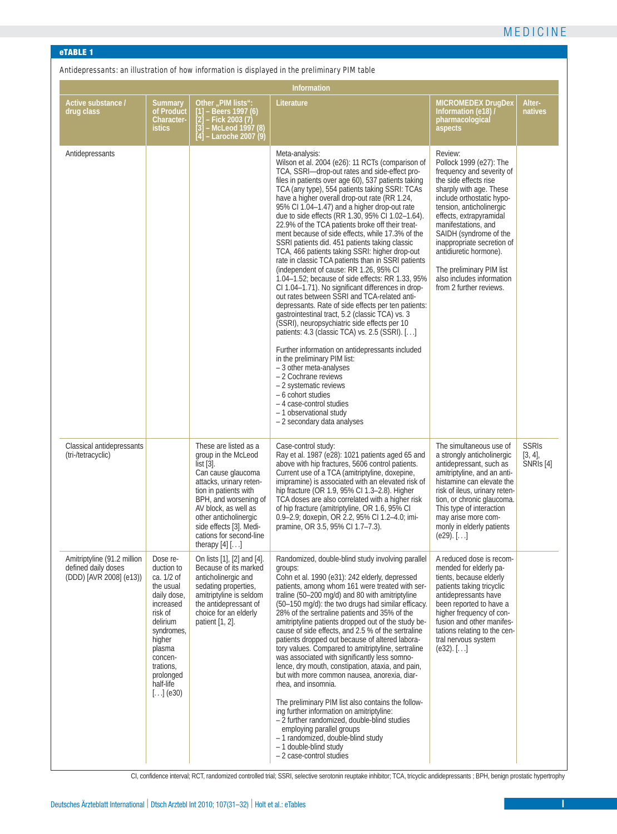## **eTABLE 1**

## Antidepressants: an illustration of how information is displayed in the preliminary PIM table

| <b>Information</b>                                                            |                                                                                                                                                                                                                           |                                                                                                                                                                                                                                                                                              |                                                                                                                                                                                                                                                                                                                                                                                                                                                                                                                                                                                                                                                                                                                                                                                                                                                                                                                                                                                                                                                                                                                                                                                                                                                                                                                                                |                                                                                                                                                                                                                                                                                                                                                                                                      |                                                |
|-------------------------------------------------------------------------------|---------------------------------------------------------------------------------------------------------------------------------------------------------------------------------------------------------------------------|----------------------------------------------------------------------------------------------------------------------------------------------------------------------------------------------------------------------------------------------------------------------------------------------|------------------------------------------------------------------------------------------------------------------------------------------------------------------------------------------------------------------------------------------------------------------------------------------------------------------------------------------------------------------------------------------------------------------------------------------------------------------------------------------------------------------------------------------------------------------------------------------------------------------------------------------------------------------------------------------------------------------------------------------------------------------------------------------------------------------------------------------------------------------------------------------------------------------------------------------------------------------------------------------------------------------------------------------------------------------------------------------------------------------------------------------------------------------------------------------------------------------------------------------------------------------------------------------------------------------------------------------------|------------------------------------------------------------------------------------------------------------------------------------------------------------------------------------------------------------------------------------------------------------------------------------------------------------------------------------------------------------------------------------------------------|------------------------------------------------|
| Active substance /<br>drug class                                              | Summary<br>of Product<br><b>Character-</b><br><b>istics</b>                                                                                                                                                               | Other "PIM lists":<br>[1] – Beers 1997 (6)<br>[2] – Fick 2003 (7)<br>[3] – McLeod 1997 (8)<br>[4] - Laroche 2007 (9)                                                                                                                                                                         | Literature                                                                                                                                                                                                                                                                                                                                                                                                                                                                                                                                                                                                                                                                                                                                                                                                                                                                                                                                                                                                                                                                                                                                                                                                                                                                                                                                     | MICROMEDEX DrugDex<br>Information (e18) /<br>pharmacological<br>aspects                                                                                                                                                                                                                                                                                                                              | Alter-<br>natives                              |
| Antidepressants                                                               |                                                                                                                                                                                                                           |                                                                                                                                                                                                                                                                                              | Meta-analysis:<br>Wilson et al. 2004 (e26): 11 RCTs (comparison of<br>TCA, SSRI-drop-out rates and side-effect pro-<br>files in patients over age 60), 537 patients taking<br>TCA (any type), 554 patients taking SSRI: TCAs<br>have a higher overall drop-out rate (RR 1.24,<br>95% CI 1.04–1.47) and a higher drop-out rate<br>due to side effects (RR 1.30, 95% Cl 1.02-1.64).<br>22.9% of the TCA patients broke off their treat-<br>ment because of side effects, while 17.3% of the<br>SSRI patients did. 451 patients taking classic<br>TCA, 466 patients taking SSRI: higher drop-out<br>rate in classic TCA patients than in SSRI patients<br>(independent of cause: RR 1.26, 95% CI<br>1.04–1.52; because of side effects: RR 1.33, 95%<br>CI 1.04-1.71). No significant differences in drop-<br>out rates between SSRI and TCA-related anti-<br>depressants. Rate of side effects per ten patients:<br>gastrointestinal tract, 5.2 (classic TCA) vs. 3<br>(SSRI), neuropsychiatric side effects per 10<br>patients: 4.3 (classic TCA) vs. 2.5 (SSRI). []<br>Further information on antidepressants included<br>in the preliminary PIM list:<br>- 3 other meta-analyses<br>- 2 Cochrane reviews<br>- 2 systematic reviews<br>- 6 cohort studies<br>- 4 case-control studies<br>-1 observational study<br>- 2 secondary data analyses | Review:<br>Pollock 1999 (e27): The<br>frequency and severity of<br>the side effects rise<br>sharply with age. These<br>include orthostatic hypo-<br>tension, anticholinergic<br>effects, extrapyramidal<br>manifestations, and<br>SAIDH (syndrome of the<br>inappropriate secretion of<br>antidiuretic hormone).<br>The preliminary PIM list<br>also includes information<br>from 2 further reviews. |                                                |
| Classical antidepressants<br>(tri-/tetracyclic)                               |                                                                                                                                                                                                                           | These are listed as a<br>group in the McLeod<br>$list [3]$ .<br>Can cause glaucoma<br>attacks, urinary reten-<br>tion in patients with<br>BPH, and worsening of<br>AV block, as well as<br>other anticholinergic<br>side effects [3]. Medi-<br>cations for second-line<br>therapy $[4]$ $[]$ | Case-control study:<br>Ray et al. 1987 (e28): 1021 patients aged 65 and<br>above with hip fractures, 5606 control patients.<br>Current use of a TCA (amitriptyline, doxepine,<br>imipramine) is associated with an elevated risk of<br>hip fracture (OR 1.9, 95% CI 1.3–2.8). Higher<br>TCA doses are also correlated with a higher risk<br>of hip fracture (amitriptyline, OR 1.6, 95% CI<br>0.9-2.9; doxepin, OR 2.2, 95% CI 1.2-4.0; imi-<br>pramine, OR 3.5, 95% CI 1.7-7.3).                                                                                                                                                                                                                                                                                                                                                                                                                                                                                                                                                                                                                                                                                                                                                                                                                                                              | The simultaneous use of<br>a strongly anticholinergic<br>antidepressant, such as<br>amitriptyline, and an anti-<br>histamine can elevate the<br>risk of ileus, urinary reten-<br>tion, or chronic glaucoma.<br>This type of interaction<br>may arise more com-<br>monly in elderly patients<br>$(e29)$ . []                                                                                          | <b>SSRIS</b><br>[3, 4]<br>SNRIS <sup>[4]</sup> |
| Amitriptyline (91.2 million<br>defined daily doses<br>(DDD) [AVR 2008] (e13)) | Dose re-<br>duction to<br>ca. 1/2 of<br>the usual<br>daily dose,<br>increased<br>risk of<br>delirium<br>syndromes,<br>higher<br>plasma<br>concen-<br>trations,<br>prolonged<br>half-life<br>$\left[ \ldots \right]$ (e30) | On lists [1], [2] and [4].<br>Because of its marked<br>anticholinergic and<br>sedating properties,<br>amitriptyline is seldom<br>the antidepressant of<br>choice for an elderly<br>patient [1, 2].                                                                                           | Randomized, double-blind study involving parallel<br>groups:<br>Cohn et al. 1990 (e31): 242 elderly, depressed<br>patients, among whom 161 were treated with ser-<br>traline (50-200 mg/d) and 80 with amitriptyline<br>(50-150 mg/d): the two drugs had similar efficacy.<br>28% of the sertraline patients and 35% of the<br>amitriptyline patients dropped out of the study be-<br>cause of side effects, and 2.5 % of the sertraline<br>patients dropped out because of altered labora-<br>tory values. Compared to amitriptyline, sertraline<br>was associated with significantly less somno-<br>lence, dry mouth, constipation, ataxia, and pain,<br>but with more common nausea, anorexia, diar-<br>rhea, and insomnia.<br>The preliminary PIM list also contains the follow-<br>ing further information on amitriptyline:<br>- 2 further randomized, double-blind studies<br>employing parallel groups<br>- 1 randomized, double-blind study<br>- 1 double-blind study<br>- 2 case-control studies                                                                                                                                                                                                                                                                                                                                     | A reduced dose is recom-<br>mended for elderly pa-<br>tients, because elderly<br>patients taking tricyclic<br>antidepressants have<br>been reported to have a<br>higher frequency of con-<br>fusion and other manifes-<br>tations relating to the cen-<br>tral nervous system<br>$(e32)$ . []                                                                                                        |                                                |

CI, confidence interval; RCT, randomized controlled trial; SSRI, selective serotonin reuptake inhibitor; TCA, tricyclic andidepressants; BPH, benign prostatic hypertrophy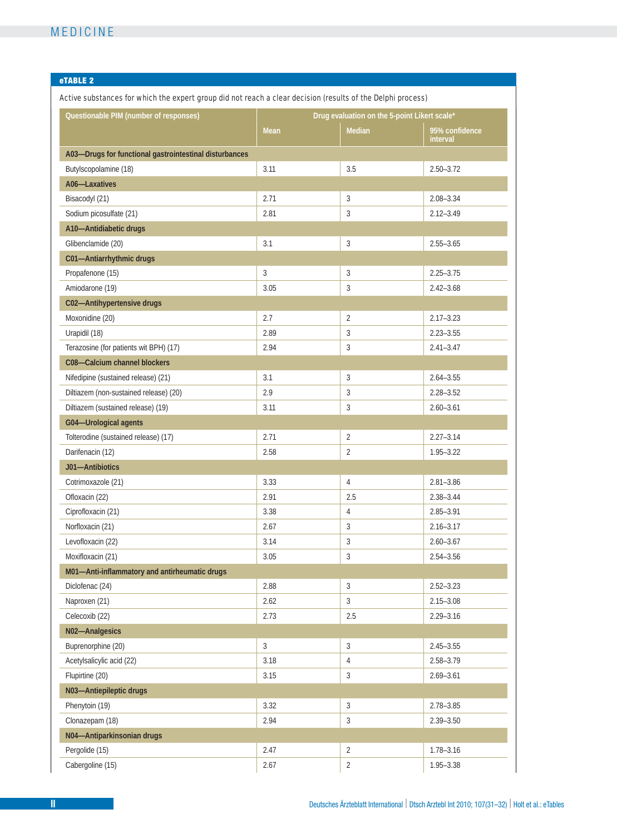## **eTABLE 2**

| Questionable PIM (number of responses)                 | Drug evaluation on the 5-point Likert scale* |                |                            |
|--------------------------------------------------------|----------------------------------------------|----------------|----------------------------|
|                                                        | <b>Mean</b>                                  | Median         | 95% confidence<br>interval |
| A03-Drugs for functional gastrointestinal disturbances |                                              |                |                            |
| Butylscopolamine (18)                                  | 3.11                                         | 3.5            | $2.50 - 3.72$              |
| A06-Laxatives                                          |                                              |                |                            |
| Bisacodyl (21)                                         | 2.71                                         | 3              | $2.08 - 3.34$              |
| Sodium picosulfate (21)                                | 2.81                                         | 3              | $2.12 - 3.49$              |
| A10-Antidiabetic drugs                                 |                                              |                |                            |
| Glibenclamide (20)                                     | 3.1                                          | 3              | $2.55 - 3.65$              |
| C01-Antiarrhythmic drugs                               |                                              |                |                            |
| Propafenone (15)                                       | 3                                            | 3              | $2.25 - 3.75$              |
| Amiodarone (19)                                        | 3.05                                         | 3              | $2.42 - 3.68$              |
| C02-Antihypertensive drugs                             |                                              |                |                            |
| Moxonidine (20)                                        | 2.7                                          | $\overline{2}$ | $2.17 - 3.23$              |
| Urapidil (18)                                          | 2.89                                         | 3              | $2.23 - 3.55$              |
| Terazosine (for patients wit BPH) (17)                 | 2.94                                         | 3              | $2.41 - 3.47$              |
| C08-Calcium channel blockers                           |                                              |                |                            |
| Nifedipine (sustained release) (21)                    | 3.1                                          | 3              | $2.64 - 3.55$              |
| Diltiazem (non-sustained release) (20)                 | 2.9                                          | 3              | $2.28 - 3.52$              |
| Diltiazem (sustained release) (19)                     | 3.11                                         | 3              | $2.60 - 3.61$              |
| G04-Urological agents                                  |                                              |                |                            |
| Tolterodine (sustained release) (17)                   | 2.71                                         | $\overline{2}$ | $2.27 - 3.14$              |
| Darifenacin (12)                                       | 2.58                                         | $\overline{2}$ | $1.95 - 3.22$              |
| J01-Antibiotics                                        |                                              |                |                            |
| Cotrimoxazole (21)                                     | 3.33                                         | $\overline{4}$ | $2.81 - 3.86$              |
| Ofloxacin (22)                                         | 2.91                                         | 2.5            | $2.38 - 3.44$              |
| Ciprofloxacin (21)                                     | 3.38                                         | 4              | $2.85 - 3.91$              |
| Norfloxacin (21)                                       | 2.67                                         | 3              | $2.16 - 3.17$              |
| Levofloxacin (22)                                      | 3.14                                         | 3              | $2.60 - 3.67$              |
| Moxifloxacin (21)                                      | 3.05                                         | 3              | $2.54 - 3.56$              |
| M01-Anti-inflammatory and antirheumatic drugs          |                                              |                |                            |
| Diclofenac (24)                                        | 2.88                                         | 3              | $2.52 - 3.23$              |
| Naproxen (21)                                          | 2.62                                         | 3              | $2.15 - 3.08$              |
| Celecoxib (22)                                         | 2.73                                         | 2.5            | $2.29 - 3.16$              |
| N02-Analgesics                                         |                                              |                |                            |
| Buprenorphine (20)                                     | 3                                            | 3              | $2.45 - 3.55$              |
| Acetylsalicylic acid (22)                              | 3.18                                         | $\overline{4}$ | 2.58-3.79                  |
| Flupirtine (20)                                        | 3.15                                         | 3              | $2.69 - 3.61$              |
| N03-Antiepileptic drugs                                |                                              |                |                            |
| Phenytoin (19)                                         | 3.32                                         | 3              | $2.78 - 3.85$              |
| Clonazepam (18)                                        | 2.94                                         | 3              | $2.39 - 3.50$              |
| N04-Antiparkinsonian drugs                             |                                              |                |                            |
| Pergolide (15)                                         | 2.47                                         | $\overline{2}$ | $1.78 - 3.16$              |
| Cabergoline (15)                                       | 2.67                                         | $\overline{2}$ | 1.95-3.38                  |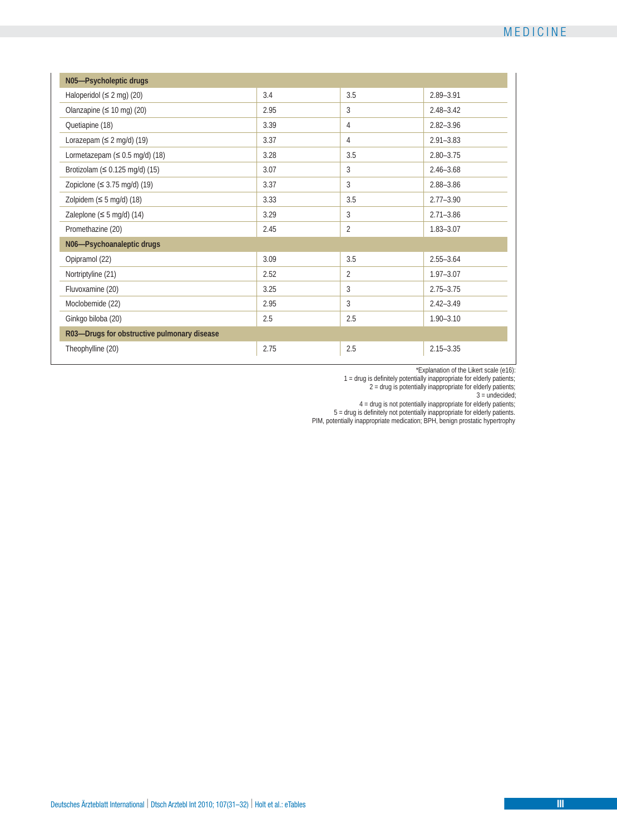| N05-Psycholeptic drugs                      |      |                |               |  |
|---------------------------------------------|------|----------------|---------------|--|
| Haloperidol $( \leq 2$ mg) $(20)$           | 3.4  | 3.5            | $2.89 - 3.91$ |  |
| Olanzapine $(\leq 10 \text{ mg})$ (20)      | 2.95 | 3              | $2.48 - 3.42$ |  |
| Quetiapine (18)                             | 3.39 | 4              | $2.82 - 3.96$ |  |
| Lorazepam $(\leq 2 \text{ mg/d})$ (19)      | 3.37 | 4              | $2.91 - 3.83$ |  |
| Lormetazepam $(\leq 0.5 \text{ mg/d})$ (18) | 3.28 | 3.5            | $2.80 - 3.75$ |  |
| Brotizolam ( $\leq 0.125$ mg/d) (15)        | 3.07 | 3              | $2.46 - 3.68$ |  |
| Zopiclone $( \leq 3.75 \text{ mg/d} )$ (19) | 3.37 | 3              | $2.88 - 3.86$ |  |
| Zolpidem $(\leq 5 \text{ mg/d})$ (18)       | 3.33 | 3.5            | $2.77 - 3.90$ |  |
| Zaleplone $( \leq 5$ mg/d) (14)             | 3.29 | 3              | $2.71 - 3.86$ |  |
| Promethazine (20)                           | 2.45 | $\overline{2}$ | $1.83 - 3.07$ |  |
| N06-Psychoanaleptic drugs                   |      |                |               |  |
| Opipramol (22)                              | 3.09 | 3.5            | $2.55 - 3.64$ |  |
| Nortriptyline (21)                          | 2.52 | 2              | $1.97 - 3.07$ |  |
| Fluvoxamine (20)                            | 3.25 | 3              | $2.75 - 3.75$ |  |
| Moclobemide (22)                            | 2.95 | 3              | $2.42 - 3.49$ |  |
| Ginkgo biloba (20)                          | 2.5  | 2.5            | $1.90 - 3.10$ |  |
| R03-Drugs for obstructive pulmonary disease |      |                |               |  |
| Theophylline (20)                           | 2.75 | 2.5            | $2.15 - 3.35$ |  |

\*Explanation of the Likert scale (e16): 1 = drug is definitely potentially inappropriate for elderly patients; 2 = drug is potentially inappropriate for elderly patients; 3 = undecided;

4 = drug is not potentially inappropriate for elderly patients; 5 = drug is definitely not potentially inappropriate for elderly patients. PIM, potentially inappropriate medication; BPH, benign prostatic hypertrophy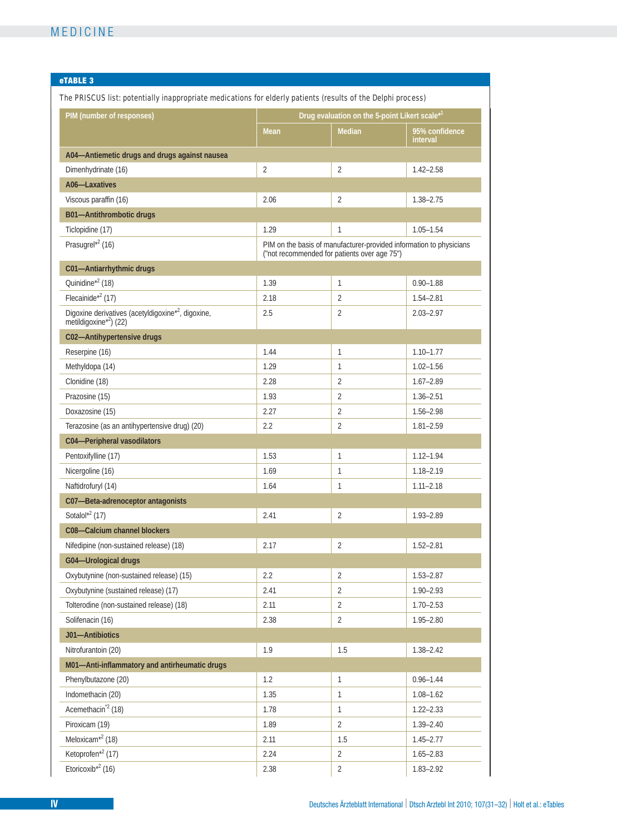## **eTABLE 3**

| PIM (number of responses)                                                                            | Drug evaluation on the 5-point Likert scale <sup>*1</sup>                                                           |                |                            |
|------------------------------------------------------------------------------------------------------|---------------------------------------------------------------------------------------------------------------------|----------------|----------------------------|
|                                                                                                      | <b>Mean</b>                                                                                                         | <b>Median</b>  | 95% confidence<br>interval |
| A04-Antiemetic drugs and drugs against nausea                                                        |                                                                                                                     |                |                            |
| Dimenhydrinate (16)                                                                                  | $\overline{2}$                                                                                                      | $\overline{2}$ | $1.42 - 2.58$              |
| A06-Laxatives                                                                                        |                                                                                                                     |                |                            |
| Viscous paraffin (16)                                                                                | 2.06                                                                                                                | 2              | $1.38 - 2.75$              |
| B01-Antithrombotic drugs                                                                             |                                                                                                                     |                |                            |
| Ticlopidine (17)                                                                                     | 1.29                                                                                                                | $\mathbf{1}$   | $1.05 - 1.54$              |
| Prasugrel <sup>*2</sup> (16)                                                                         | PIM on the basis of manufacturer-provided information to physicians<br>("not recommended for patients over age 75") |                |                            |
| C01-Antiarrhythmic drugs                                                                             |                                                                                                                     |                |                            |
| Quinidine <sup>*2</sup> (18)                                                                         | 1.39                                                                                                                | $\mathbf{1}$   | $0.90 - 1.88$              |
| Flecainide <sup><math>*2</math></sup> (17)                                                           | 2.18                                                                                                                | $\overline{2}$ | $1.54 - 2.81$              |
| Digoxine derivatives (acetyldigoxine <sup>*2</sup> , digoxine,<br>metildigoxine <sup>*2</sup> ) (22) | 2.5                                                                                                                 | $\overline{2}$ | $2.03 - 2.97$              |
| C02-Antihypertensive drugs                                                                           |                                                                                                                     |                |                            |
| Reserpine (16)                                                                                       | 1.44                                                                                                                | $\mathbf{1}$   | $1.10 - 1.77$              |
| Methyldopa (14)                                                                                      | 1.29                                                                                                                | 1              | $1.02 - 1.56$              |
| Clonidine (18)                                                                                       | 2.28                                                                                                                | $\overline{2}$ | $1.67 - 2.89$              |
| Prazosine (15)                                                                                       | 1.93                                                                                                                | $\overline{2}$ | $1.36 - 2.51$              |
| Doxazosine (15)                                                                                      | 2.27                                                                                                                | $\overline{2}$ | $1.56 - 2.98$              |
| Terazosine (as an antihypertensive drug) (20)                                                        | 2.2                                                                                                                 | $\overline{2}$ | $1.81 - 2.59$              |
| C04-Peripheral vasodilators                                                                          |                                                                                                                     |                |                            |
| Pentoxifylline (17)                                                                                  | 1.53                                                                                                                | 1              | $1.12 - 1.94$              |
| Nicergoline (16)                                                                                     | 1.69                                                                                                                | $\mathbf{1}$   | $1.18 - 2.19$              |
| Naftidrofuryl (14)                                                                                   | 1.64                                                                                                                | $\mathbf{1}$   | $1.11 - 2.18$              |
| C07-Beta-adrenoceptor antagonists                                                                    |                                                                                                                     |                |                            |
| Sotalol <sup>*2</sup> (17)                                                                           | 2.41                                                                                                                | $\overline{2}$ | 1.93-2.89                  |
| C08-Calcium channel blockers                                                                         |                                                                                                                     |                |                            |
| Nifedipine (non-sustained release) (18)                                                              | 2.17                                                                                                                | 2              | $1.52 - 2.81$              |
| G04-Urological drugs                                                                                 |                                                                                                                     |                |                            |
| Oxybutynine (non-sustained release) (15)                                                             | 2.2                                                                                                                 | $\overline{2}$ | $1.53 - 2.87$              |
| Oxybutynine (sustained release) (17)                                                                 | 2.41                                                                                                                | $\overline{2}$ | $1.90 - 2.93$              |
| Tolterodine (non-sustained release) (18)                                                             | 2.11                                                                                                                | $\overline{2}$ | $1.70 - 2.53$              |
| Solifenacin (16)                                                                                     | 2.38                                                                                                                | $\overline{2}$ | $1.95 - 2.80$              |
| J01-Antibiotics                                                                                      |                                                                                                                     |                |                            |
| Nitrofurantoin (20)                                                                                  | 1.9                                                                                                                 | 1.5            | $1.38 - 2.42$              |
| M01-Anti-inflammatory and antirheumatic drugs                                                        |                                                                                                                     |                |                            |
| Phenylbutazone (20)                                                                                  | 1.2                                                                                                                 | 1              | $0.96 - 1.44$              |
| Indomethacin (20)                                                                                    | 1.35                                                                                                                | 1              | $1.08 - 1.62$              |
| Acemethacin <sup>*2</sup> (18)                                                                       | 1.78                                                                                                                | $\mathbf{1}$   | $1.22 - 2.33$              |
| Piroxicam (19)                                                                                       | 1.89                                                                                                                | $\overline{2}$ | $1.39 - 2.40$              |
| Meloxicam <sup><math>*2</math></sup> (18)                                                            | 2.11                                                                                                                | 1.5            | $1.45 - 2.77$              |
| Ketoprofen <sup>*2</sup> (17)                                                                        | 2.24                                                                                                                | $\overline{2}$ | $1.65 - 2.83$              |
| Etoricoxib <sup>*2</sup> (16)                                                                        | 2.38                                                                                                                | $\overline{2}$ | $1.83 - 2.92$              |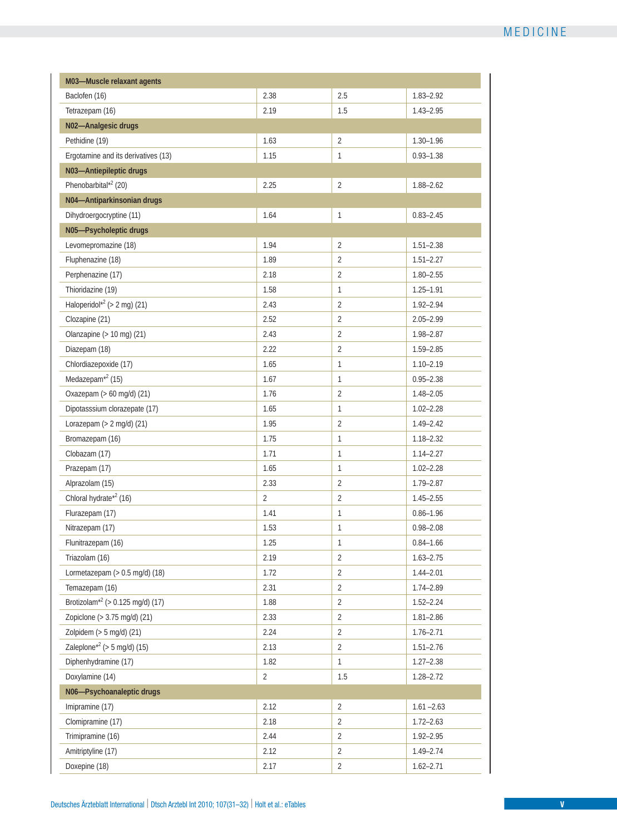| M03-Muscle relaxant agents                              |                |                |               |
|---------------------------------------------------------|----------------|----------------|---------------|
| Baclofen (16)                                           | 2.38           | 2.5            | $1.83 - 2.92$ |
| Tetrazepam (16)                                         | 2.19           | 1.5            | $1.43 - 2.95$ |
| N02-Analgesic drugs                                     |                |                |               |
| Pethidine (19)                                          | 1.63           | $\overline{2}$ | $1.30 - 1.96$ |
| Ergotamine and its derivatives (13)                     | 1.15           | $\mathbf{1}$   | $0.93 - 1.38$ |
| N03-Antiepileptic drugs                                 |                |                |               |
| Phenobarbital*2 (20)                                    | 2.25           | $\overline{2}$ | $1.88 - 2.62$ |
| N04-Antiparkinsonian drugs                              |                |                |               |
| Dihydroergocryptine (11)                                | 1.64           | $\mathbf{1}$   | $0.83 - 2.45$ |
| N05-Psycholeptic drugs                                  |                |                |               |
| Levomepromazine (18)                                    | 1.94           | $\overline{2}$ | $1.51 - 2.38$ |
| Fluphenazine (18)                                       | 1.89           | $\overline{2}$ | $1.51 - 2.27$ |
| Perphenazine (17)                                       | 2.18           | $\overline{2}$ | $1.80 - 2.55$ |
| Thioridazine (19)                                       | 1.58           | 1              | $1.25 - 1.91$ |
| Haloperidol <sup>*2</sup> (> 2 mg) (21)                 | 2.43           | $\overline{2}$ | $1.92 - 2.94$ |
| Clozapine (21)                                          | 2.52           | $\overline{2}$ | $2.05 - 2.99$ |
| Olanzapine (> 10 mg) (21)                               | 2.43           | $\overline{2}$ | 1.98-2.87     |
| Diazepam (18)                                           | 2.22           | $\overline{2}$ | $1.59 - 2.85$ |
| Chlordiazepoxide (17)                                   | 1.65           | 1              | $1.10 - 2.19$ |
| Medazepam <sup><math>*2</math></sup> (15)               | 1.67           | $\mathbf{1}$   | $0.95 - 2.38$ |
| Oxazepam (> 60 mg/d) (21)                               | 1.76           | $\overline{2}$ | $1.48 - 2.05$ |
| Dipotasssium clorazepate (17)                           | 1.65           | 1              | $1.02 - 2.28$ |
| Lorazepam $(> 2$ mg/d) $(21)$                           | 1.95           | $\overline{2}$ | 1.49-2.42     |
| Bromazepam (16)                                         | 1.75           | $\mathbf{1}$   | $1.18 - 2.32$ |
| Clobazam (17)                                           | 1.71           | $\mathbf{1}$   | $1.14 - 2.27$ |
| Prazepam (17)                                           | 1.65           | $\mathbf{1}$   | $1.02 - 2.28$ |
| Alprazolam (15)                                         | 2.33           | $\overline{2}$ | $1.79 - 2.87$ |
| Chloral hydrate <sup>*2</sup> (16)                      | $\overline{2}$ | $\overline{2}$ | $1.45 - 2.55$ |
| Flurazepam (17)                                         | 1.41           | 1              | $0.86 - 1.96$ |
| Nitrazepam (17)                                         | 1.53           | 1              | $0.98 - 2.08$ |
| Flunitrazepam (16)                                      | 1.25           | $\mathbf{1}$   | $0.84 - 1.66$ |
| Triazolam (16)                                          | 2.19           | 2              | $1.63 - 2.75$ |
| Lormetazepam (> 0.5 mg/d) (18)                          | 1.72           | $\overline{2}$ | $1.44 - 2.01$ |
| Temazepam (16)                                          | 2.31           | $\overline{2}$ | 1.74-2.89     |
| Brotizolam <sup>*2</sup> (> 0.125 mg/d) (17)            | 1.88           | $\overline{2}$ | $1.52 - 2.24$ |
| Zopiclone (> 3.75 mg/d) (21)                            | 2.33           | 2              | $1.81 - 2.86$ |
| Zolpidem $(> 5$ mg/d) $(21)$                            | 2.24           | $\overline{2}$ | $1.76 - 2.71$ |
| Zaleplone <sup><math>*2</math></sup> ( $> 5$ mg/d) (15) | 2.13           | $\overline{2}$ | $1.51 - 2.76$ |
| Diphenhydramine (17)                                    | 1.82           | 1              | $1.27 - 2.38$ |
| Doxylamine (14)                                         | 2              | 1.5            | $1.28 - 2.72$ |
| N06-Psychoanaleptic drugs                               |                |                |               |
| Imipramine (17)                                         | 2.12           | $\overline{2}$ | $1.61 - 2.63$ |
| Clomipramine (17)                                       | 2.18           | $\overline{2}$ | $1.72 - 2.63$ |
| Trimipramine (16)                                       | 2.44           | $\overline{2}$ | $1.92 - 2.95$ |
| Amitriptyline (17)                                      | 2.12           | $\overline{2}$ | 1.49-2.74     |
| Doxepine (18)                                           | 2.17           | $\overline{2}$ | $1.62 - 2.71$ |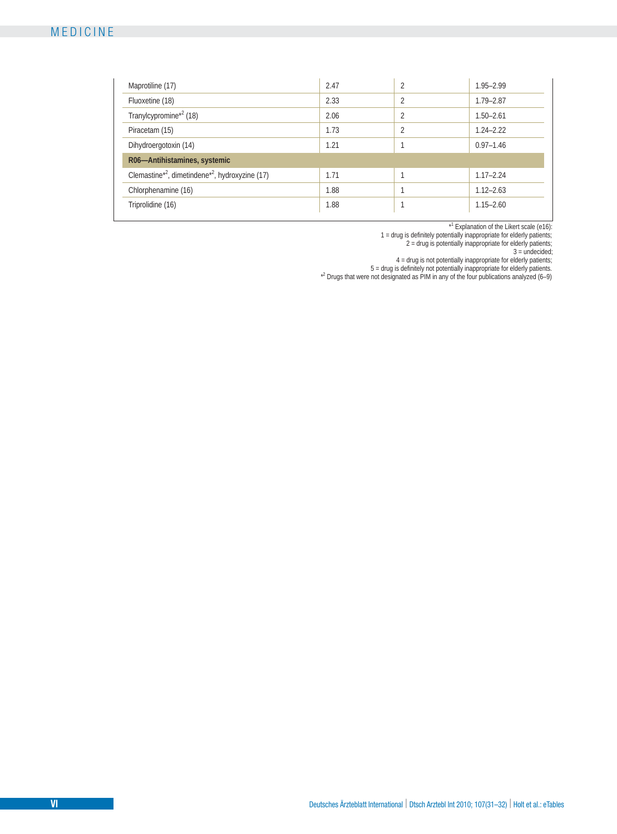| Maprotiline (17)                                                        | 2.47 | 2                        | $1.95 - 2.99$ |
|-------------------------------------------------------------------------|------|--------------------------|---------------|
| Fluoxetine (18)                                                         | 2.33 | $\overline{\mathcal{L}}$ | $1.79 - 2.87$ |
| Tranylcypromine <sup>*2</sup> (18)                                      | 2.06 | $\overline{2}$           | $1.50 - 2.61$ |
| Piracetam (15)                                                          | 1.73 |                          | $1.24 - 2.22$ |
| Dihydroergotoxin (14)                                                   | 1.21 |                          | $0.97 - 1.46$ |
| R06-Antihistamines, systemic                                            |      |                          |               |
| Clemastine <sup>*2</sup> , dimetindene <sup>*2</sup> , hydroxyzine (17) | 1.71 |                          | $1.17 - 2.24$ |
| Chlorphenamine (16)                                                     | 1.88 |                          | $1.12 - 2.63$ |
| Triprolidine (16)                                                       | 1.88 |                          | $1.15 - 2.60$ |

\* 1 Explanation of the Likert scale (e16): 1 = drug is definitely potentially inappropriate for elderly patients; 2 = drug is potentially inappropriate for elderly patients; 3 = undecided;

1 d = drug is not potentially inappropriate for elderly patients;<br>1-5 drug is definitely not potentially inappropriate for elderly patients.<br>1-9 Drugs that were not designated as PIM in any of the four publications analyz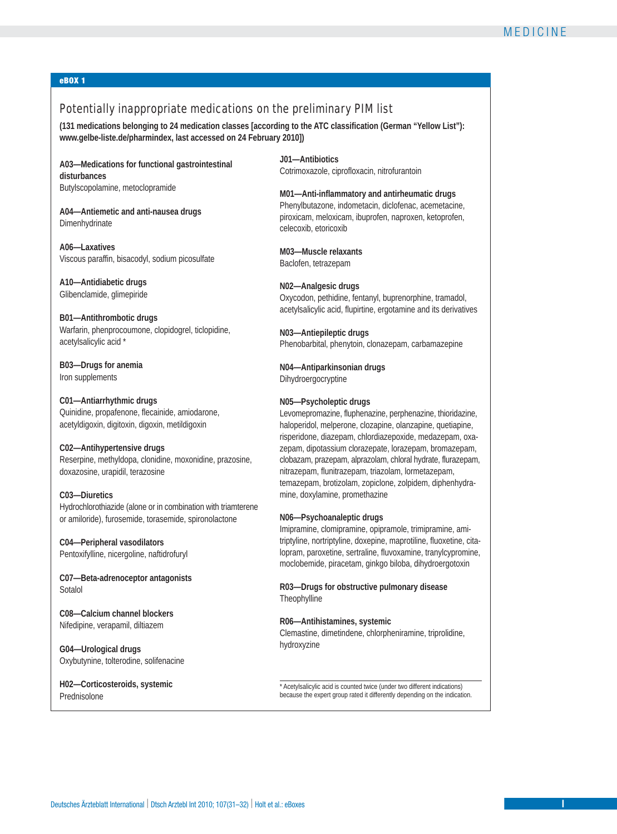## **eBOX 1**

## Potentially inappropriate medications on the preliminary PIM list

**(131 medications belonging to 24 medication classes [according to the ATC classification (German "Yellow List"): www.gelbe-liste.de/pharmindex, last accessed on 24 February 2010])**

**A03—Medications for functional gastrointestinal disturbances** Butylscopolamine, metoclopramide

**A04—Antiemetic and anti-nausea drugs** Dimenhydrinate

**A06—Laxatives** Viscous paraffin, bisacodyl, sodium picosulfate

**A10—Antidiabetic drugs** Glibenclamide, glimepiride

**B01—Antithrombotic drugs** Warfarin, phenprocoumone, clopidogrel, ticlopidine, acetylsalicylic acid \*

**B03—Drugs for anemia** Iron supplements

**C01—Antiarrhythmic drugs** Quinidine, propafenone, flecainide, amiodarone, acetyldigoxin, digitoxin, digoxin, metildigoxin

## **C02—Antihypertensive drugs**

Reserpine, methyldopa, clonidine, moxonidine, prazosine, doxazosine, urapidil, terazosine

**C03—Diuretics** Hydrochlorothiazide (alone or in combination with triamterene or amiloride), furosemide, torasemide, spironolactone

**C04—Peripheral vasodilators** Pentoxifylline, nicergoline, naftidrofuryl

**C07—Beta-adrenoceptor antagonists** Sotalol

**C08—Calcium channel blockers** Nifedipine, verapamil, diltiazem

**G04—Urological drugs** Oxybutynine, tolterodine, solifenacine

**H02—Corticosteroids, systemic** Prednisolone

**J01—Antibiotics** Cotrimoxazole, ciprofloxacin, nitrofurantoin

**M01—Anti-inflammatory and antirheumatic drugs** Phenylbutazone, indometacin, diclofenac, acemetacine, piroxicam, meloxicam, ibuprofen, naproxen, ketoprofen, celecoxib, etoricoxib

**M03—Muscle relaxants** Baclofen, tetrazepam

**N02—Analgesic drugs** Oxycodon, pethidine, fentanyl, buprenorphine, tramadol, acetylsalicylic acid, flupirtine, ergotamine and its derivatives

**N03—Antiepileptic drugs** Phenobarbital, phenytoin, clonazepam, carbamazepine

**N04—Antiparkinsonian drugs** Dihydroergocryptine

## **N05—Psycholeptic drugs**

Levomepromazine, fluphenazine, perphenazine, thioridazine, haloperidol, melperone, clozapine, olanzapine, quetiapine, risperidone, diazepam, chlordiazepoxide, medazepam, oxazepam, dipotassium clorazepate, lorazepam, bromazepam, clobazam, prazepam, alprazolam, chloral hydrate, flurazepam, nitrazepam, flunitrazepam, triazolam, lormetazepam, temazepam, brotizolam, zopiclone, zolpidem, diphenhydramine, doxylamine, promethazine

#### **N06—Psychoanaleptic drugs**

Imipramine, clomipramine, opipramole, trimipramine, amitriptyline, nortriptyline, doxepine, maprotiline, fluoxetine, citalopram, paroxetine, sertraline, fluvoxamine, tranylcypromine, moclobemide, piracetam, ginkgo biloba, dihydroergotoxin

**R03—Drugs for obstructive pulmonary disease Theophylline** 

**R06—Antihistamines, systemic** Clemastine, dimetindene, chlorpheniramine, triprolidine, hydroxyzine

\* Acetylsalicylic acid is counted twice (under two different indications) because the expert group rated it differently depending on the indication.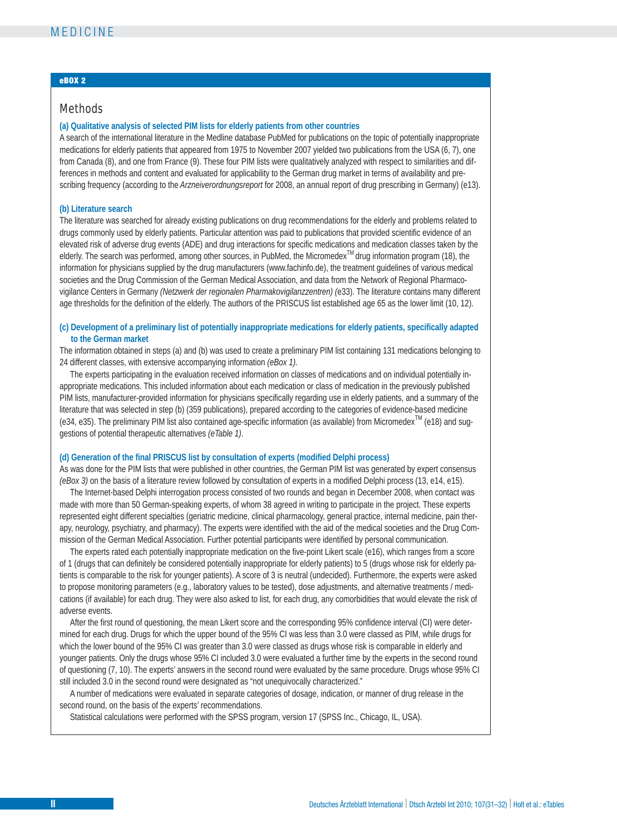#### **eBOX 2**

## **Methods**

### **(a) Qualitative analysis of selected PIM lists for elderly patients from other countries**

A search of the international literature in the Medline database PubMed for publications on the topic of potentially inappropriate medications for elderly patients that appeared from 1975 to November 2007 yielded two publications from the USA (6, 7), one from Canada (8), and one from France (9). These four PIM lists were qualitatively analyzed with respect to similarities and differences in methods and content and evaluated for applicability to the German drug market in terms of availability and prescribing frequency (according to the *Arzneiverordnungsreport* for 2008, an annual report of drug prescribing in Germany) (e13).

## **(b) Literature search**

The literature was searched for already existing publications on drug recommendations for the elderly and problems related to drugs commonly used by elderly patients. Particular attention was paid to publications that provided scientific evidence of an elevated risk of adverse drug events (ADE) and drug interactions for specific medications and medication classes taken by the elderly. The search was performed, among other sources, in PubMed, the Micromedex<sup>TM</sup> drug information program (18), the information for physicians supplied by the drug manufacturers (www.fachinfo.de), the treatment guidelines of various medical societies and the Drug Commission of the German Medical Association, and data from the Network of Regional Pharmacovigilance Centers in Germany *(Netzwerk der regionalen Pharmakovigilanzzentren) (*e33). The literature contains many different age thresholds for the definition of the elderly. The authors of the PRISCUS list established age 65 as the lower limit (10, 12).

## **(c) Development of a preliminary list of potentially inappropriate medications for elderly patients, specifically adapted to the German market**

The information obtained in steps (a) and (b) was used to create a preliminary PIM list containing 131 medications belonging to 24 different classes, with extensive accompanying information *(eBox 1).*

The experts participating in the evaluation received information on classes of medications and on individual potentially inappropriate medications. This included information about each medication or class of medication in the previously published PIM lists, manufacturer-provided information for physicians specifically regarding use in elderly patients, and a summary of the literature that was selected in step (b) (359 publications), prepared according to the categories of evidence-based medicine (e34, e35). The preliminary PIM list also contained age-specific information (as available) from Micromedex™ (e18) and suggestions of potential therapeutic alternatives *(eTable 1)*.

## **(d) Generation of the final PRISCUS list by consultation of experts (modified Delphi process)**

As was done for the PIM lists that were published in other countries, the German PIM list was generated by expert consensus *(eBox 3)* on the basis of a literature review followed by consultation of experts in a modified Delphi process (13, e14, e15).

The Internet-based Delphi interrogation process consisted of two rounds and began in December 2008, when contact was made with more than 50 German-speaking experts, of whom 38 agreed in writing to participate in the project. These experts represented eight different specialties (geriatric medicine, clinical pharmacology, general practice, internal medicine, pain therapy, neurology, psychiatry, and pharmacy). The experts were identified with the aid of the medical societies and the Drug Commission of the German Medical Association. Further potential participants were identified by personal communication.

The experts rated each potentially inappropriate medication on the five-point Likert scale (e16), which ranges from a score of 1 (drugs that can definitely be considered potentially inappropriate for elderly patients) to 5 (drugs whose risk for elderly patients is comparable to the risk for younger patients). A score of 3 is neutral (undecided). Furthermore, the experts were asked to propose monitoring parameters (e.g., laboratory values to be tested), dose adjustments, and alternative treatments / medications (if available) for each drug. They were also asked to list, for each drug, any comorbidities that would elevate the risk of adverse events.

After the first round of questioning, the mean Likert score and the corresponding 95% confidence interval (CI) were determined for each drug. Drugs for which the upper bound of the 95% CI was less than 3.0 were classed as PIM, while drugs for which the lower bound of the 95% CI was greater than 3.0 were classed as drugs whose risk is comparable in elderly and younger patients. Only the drugs whose 95% CI included 3.0 were evaluated a further time by the experts in the second round of questioning (7, 10). The experts' answers in the second round were evaluated by the same procedure. Drugs whose 95% CI still included 3.0 in the second round were designated as "not unequivocally characterized."

A number of medications were evaluated in separate categories of dosage, indication, or manner of drug release in the second round, on the basis of the experts' recommendations.

Statistical calculations were performed with the SPSS program, version 17 (SPSS Inc., Chicago, IL, USA).